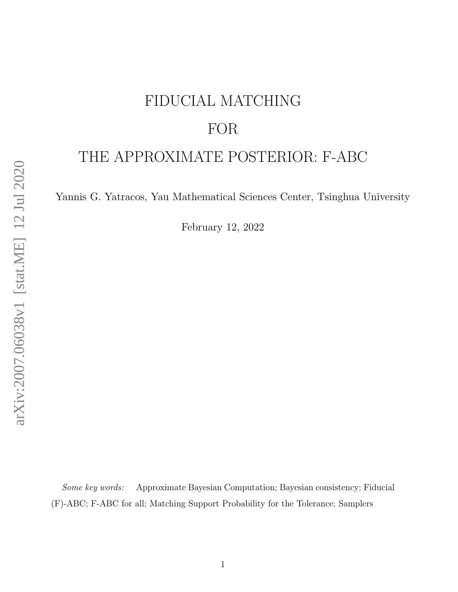# FIDUCIAL MATCHING FOR THE APPROXIMATE POSTERIOR: F-ABC

Yannis G. Yatracos, Yau Mathematical Sciences Center, Tsinghua University

February 12, 2022

Some key words: Approximate Bayesian Computation; Bayesian consistency; Fiducial (F)-ABC; F-ABC for all; Matching Support Probability for the Tolerance; Samplers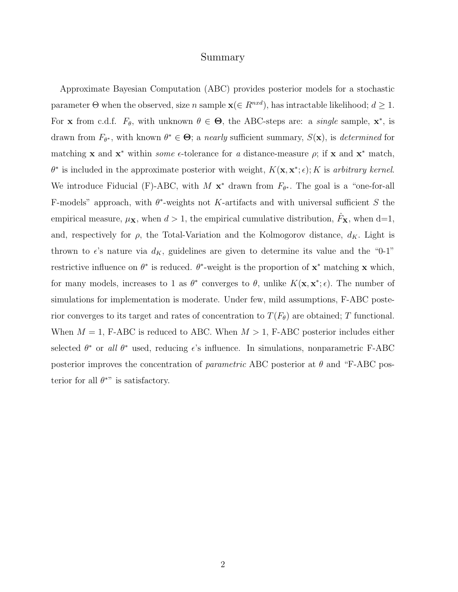#### Summary

Approximate Bayesian Computation (ABC) provides posterior models for a stochastic parameter  $\Theta$  when the observed, size n sample  $\mathbf{x}(\in R^{nxd})$ , has intractable likelihood;  $d \geq 1$ . For **x** from c.d.f.  $F_{\theta}$ , with unknown  $\theta \in \Theta$ , the ABC-steps are: a *single* sample, **x**<sup>\*</sup>, is drawn from  $F_{\theta^*}$ , with known  $\theta^* \in \Theta$ ; a *nearly* sufficient summary,  $S(\mathbf{x})$ , is *determined* for matching **x** and **x**<sup>\*</sup> within *some*  $\epsilon$ -tolerance for a distance-measure  $\rho$ ; if **x** and **x**<sup>\*</sup> match,  $\theta^*$  is included in the approximate posterior with weight,  $K(\mathbf{x}, \mathbf{x}^*; \epsilon)$ ; K is arbitrary kernel. We introduce Fiducial (F)-ABC, with  $M \times^*$  drawn from  $F_{\theta^*}$ . The goal is a "one-for-all F-models" approach, with  $\theta^*$ -weights not K-artifacts and with universal sufficient S the empirical measure,  $\mu_X$ , when  $d > 1$ , the empirical cumulative distribution,  $\ddot{F}_X$ , when d=1, and, respectively for  $\rho$ , the Total-Variation and the Kolmogorov distance,  $d_K$ . Light is thrown to  $\epsilon$ 's nature via  $d_K$ , guidelines are given to determine its value and the "0-1" restrictive influence on  $\theta^*$  is reduced.  $\theta^*$ -weight is the proportion of  $\mathbf{x}^*$  matching x which, for many models, increases to 1 as  $\theta^*$  converges to  $\theta$ , unlike  $K(\mathbf{x}, \mathbf{x}^*; \epsilon)$ . The number of simulations for implementation is moderate. Under few, mild assumptions, F-ABC posterior converges to its target and rates of concentration to  $T(F_{\theta})$  are obtained; T functional. When  $M = 1$ , F-ABC is reduced to ABC. When  $M > 1$ , F-ABC posterior includes either selected  $\theta^*$  or all  $\theta^*$  used, reducing  $\epsilon$ 's influence. In simulations, nonparametric F-ABC posterior improves the concentration of *parametric* ABC posterior at  $\theta$  and "F-ABC posterior for all  $\theta^{*}$ " is satisfactory.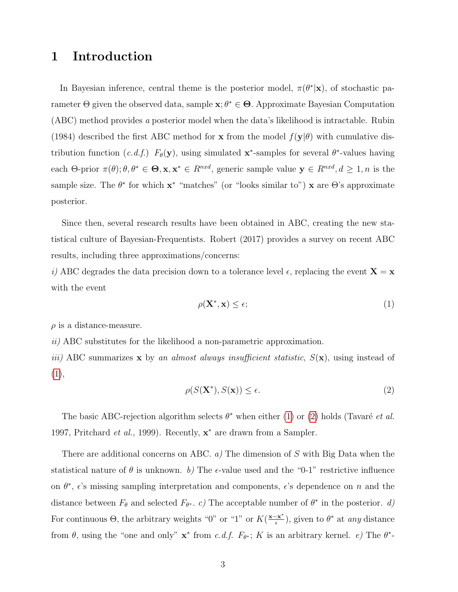### 1 Introduction

In Bayesian inference, central theme is the posterior model,  $\pi(\theta^*|\mathbf{x})$ , of stochastic parameter  $\Theta$  given the observed data, sample  $\mathbf{x}; \theta^* \in \Theta$ . Approximate Bayesian Computation (ABC) method provides a posterior model when the data's likelihood is intractable. Rubin (1984) described the first ABC method for **x** from the model  $f(y|\theta)$  with cumulative distribution function  $(c.d.f.)$   $F_{\theta}(\mathbf{y})$ , using simulated **x**<sup>\*</sup>-samples for several  $\theta$ <sup>\*</sup>-values having each  $\Theta$ -prior  $\pi(\theta)$ ;  $\theta, \theta^* \in \Theta$ ,  $\mathbf{x}, \mathbf{x}^* \in R^{nxd}$ , generic sample value  $\mathbf{y} \in R^{nxd}$ ,  $d \geq 1$ , n is the sample size. The  $\theta^*$  for which  $\mathbf{x}^*$  "matches" (or "looks similar to")  $\mathbf{x}$  are  $\Theta$ 's approximate posterior.

Since then, several research results have been obtained in ABC, creating the new statistical culture of Bayesian-Frequentists. Robert (2017) provides a survey on recent ABC results, including three approximations/concerns:

i) ABC degrades the data precision down to a tolerance level  $\epsilon$ , replacing the event  $X = x$ with the event

<span id="page-2-0"></span>
$$
\rho(\mathbf{X}^*, \mathbf{x}) \le \epsilon; \tag{1}
$$

 $\rho$  is a distance-measure.

ii) ABC substitutes for the likelihood a non-parametric approximation.

iii) ABC summarizes x by an almost always insufficient statistic,  $S(\mathbf{x})$ , using instead of  $(1),$  $(1),$ 

<span id="page-2-1"></span>
$$
\rho(S(\mathbf{X}^*), S(\mathbf{x})) \le \epsilon. \tag{2}
$$

The basic ABC-rejection algorithm selects  $\theta^*$  when either [\(1\)](#page-2-0) or [\(2\)](#page-2-1) holds (Tavaré *et al.* 1997, Pritchard et al., 1999). Recently,  $\mathbf{x}^*$  are drawn from a Sampler.

There are additional concerns on ABC.  $a$ ) The dimension of S with Big Data when the statistical nature of  $\theta$  is unknown. b) The  $\epsilon$ -value used and the "0-1" restrictive influence on  $\theta^*$ ,  $\epsilon$ 's missing sampling interpretation and components,  $\epsilon$ 's dependence on n and the distance between  $F_{\theta}$  and selected  $F_{\theta^*}. c$  The acceptable number of  $\theta^*$  in the posterior. d) For continuous  $\Theta$ , the arbitrary weights "0" or "1" or  $K(\frac{\mathbf{x}-\mathbf{x}^*}{\epsilon})$  $\frac{-\mathbf{x}^*}{\epsilon}$ , given to  $\theta^*$  at any distance from  $\theta$ , using the "one and only"  $\mathbf{x}^*$  from c.d.f.  $F_{\theta^*}$ ; K is an arbitrary kernel. e) The  $\theta^*$ -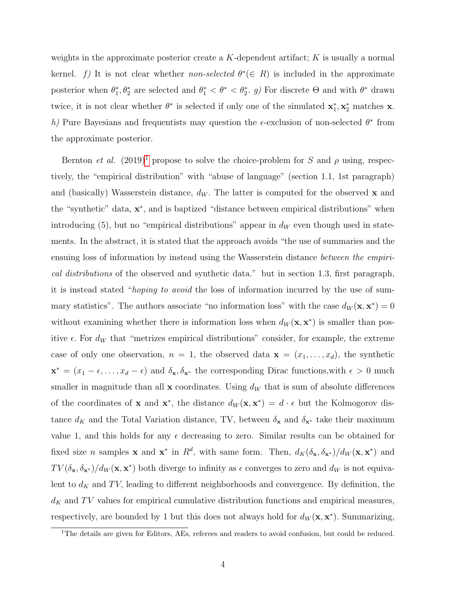weights in the approximate posterior create a  $K$ -dependent artifact;  $K$  is usually a normal kernel. f) It is not clear whether non-selected  $\theta^*(\in R)$  is included in the approximate posterior when  $\theta_1^*, \theta_2^*$  are selected and  $\theta_1^* < \theta^* < \theta_2^*$ . g) For discrete  $\Theta$  and with  $\theta^*$  drawn twice, it is not clear whether  $\theta^*$  is selected if only one of the simulated  $\mathbf{x}_1^*, \mathbf{x}_2^*$  matches **x**. h) Pure Bayesians and frequentists may question the  $\epsilon$ -exclusion of non-selected  $\theta^*$  from the approximate posterior.

Bernton *et al.* (20[1](#page-3-0)9)<sup>1</sup> propose to solve the choice-problem for S and  $\rho$  using, respectively, the "empirical distribution" with "abuse of language" (section 1.1, 1st paragraph) and (basically) Wasserstein distance,  $d_W$ . The latter is computed for the observed x and the "synthetic" data,  $x^*$ , and is baptized "distance between empirical distributions" when introducing (5), but no "empirical distributions" appear in  $d<sub>W</sub>$  even though used in statements. In the abstract, it is stated that the approach avoids "the use of summaries and the ensuing loss of information by instead using the Wasserstein distance between the empirical distributions of the observed and synthetic data." but in section 1.3, first paragraph, it is instead stated "hoping to avoid the loss of information incurred by the use of summary statistics". The authors associate "no information loss" with the case  $d_W(\mathbf{x}, \mathbf{x}^*) = 0$ without examining whether there is information loss when  $d_W(\mathbf{x}, \mathbf{x}^*)$  is smaller than positive  $\epsilon$ . For  $d_W$  that "metrizes empirical distributions" consider, for example, the extreme case of only one observation,  $n = 1$ , the observed data  $\mathbf{x} = (x_1, \ldots, x_d)$ , the synthetic  $\mathbf{x}^* = (x_1 - \epsilon, \dots, x_d - \epsilon)$  and  $\delta_{\mathbf{x}}, \delta_{\mathbf{x}^*}$  the corresponding Dirac functions, with  $\epsilon > 0$  much smaller in magnitude than all x coordinates. Using  $d<sub>W</sub>$  that is sum of absolute differences of the coordinates of **x** and **x**<sup>\*</sup>, the distance  $d_W(\mathbf{x}, \mathbf{x}^*) = d \cdot \epsilon$  but the Kolmogorov distance  $d_K$  and the Total Variation distance, TV, between  $\delta_{\mathbf{x}}$  and  $\delta_{\mathbf{x}^*}$  take their maximum value 1, and this holds for any  $\epsilon$  decreasing to zero. Similar results can be obtained for fixed size *n* samples **x** and **x**<sup>\*</sup> in  $R^d$ , with same form. Then,  $d_K(\delta_{\mathbf{x}}, \delta_{\mathbf{x}^*})/d_W(\mathbf{x}, \mathbf{x}^*)$  and  $TV(\delta_{\mathbf{x}}, \delta_{\mathbf{x}^*})/d_W(\mathbf{x}, \mathbf{x}^*)$  both diverge to infinity as  $\epsilon$  converges to zero and  $d_W$  is not equivalent to  $d_K$  and TV, leading to different neighborhoods and convergence. By definition, the  $d_K$  and TV values for empirical cumulative distribution functions and empirical measures, respectively, are bounded by 1 but this does not always hold for  $d_W(\mathbf{x}, \mathbf{x}^*)$ . Summarizing,

<span id="page-3-0"></span><sup>&</sup>lt;sup>1</sup>The details are given for Editors, AEs, referees and readers to avoid confusion, but could be reduced.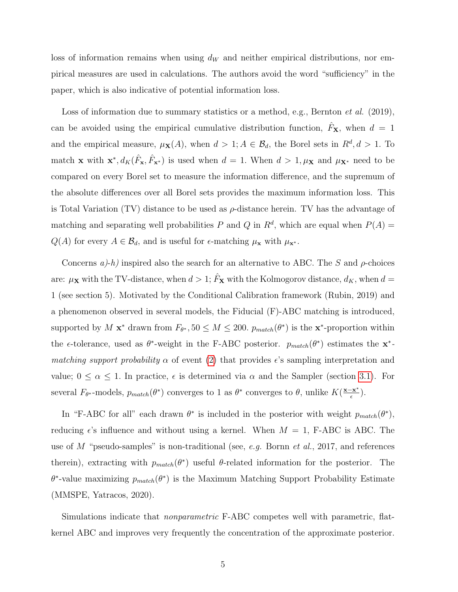loss of information remains when using  $d_W$  and neither empirical distributions, nor empirical measures are used in calculations. The authors avoid the word "sufficiency" in the paper, which is also indicative of potential information loss.

Loss of information due to summary statistics or a method, e.g., Bernton *et al.* (2019), can be avoided using the empirical cumulative distribution function,  $\hat{F}_{\mathbf{X}}$ , when  $d = 1$ and the empirical measure,  $\mu_{\mathbf{X}}(A)$ , when  $d > 1; A \in \mathcal{B}_d$ , the Borel sets in  $R^d, d > 1$ . To match **x** with  $\mathbf{x}^*, d_K(\hat{F}_\mathbf{x}, \hat{F}_{\mathbf{x}^*})$  is used when  $d = 1$ . When  $d > 1, \mu_\mathbf{X}$  and  $\mu_\mathbf{X}$ <sup>\*</sup> need to be compared on every Borel set to measure the information difference, and the supremum of the absolute differences over all Borel sets provides the maximum information loss. This is Total Variation (TV) distance to be used as  $\rho$ -distance herein. TV has the advantage of matching and separating well probabilities P and Q in  $R^d$ , which are equal when  $P(A)$  =  $Q(A)$  for every  $A \in \mathcal{B}_d$ , and is useful for  $\epsilon$ -matching  $\mu_{\mathbf{x}}$  with  $\mu_{\mathbf{x}^*}$ .

Concerns  $a$ )-h) inspired also the search for an alternative to ABC. The S and  $\rho$ -choices are:  $\mu_X$  with the TV-distance, when  $d > 1$ ;  $\hat{F}_X$  with the Kolmogorov distance,  $d_K$ , when  $d =$ 1 (see section 5). Motivated by the Conditional Calibration framework (Rubin, 2019) and a phenomenon observed in several models, the Fiducial (F)-ABC matching is introduced, supported by M  $\mathbf{x}^*$  drawn from  $F_{\theta^*}$ , 50  $\leq M \leq 200$ .  $p_{match}(\theta^*)$  is the  $\mathbf{x}^*$ -proportion within the  $\epsilon$ -tolerance, used as  $\theta^*$ -weight in the F-ABC posterior.  $p_{match}(\theta^*)$  estimates the  $\mathbf{x}^*$ matching support probability  $\alpha$  of event [\(2\)](#page-2-1) that provides  $\epsilon$ 's sampling interpretation and value;  $0 \le \alpha \le 1$ . In practice,  $\epsilon$  is determined via  $\alpha$  and the Sampler (section [3.1\)](#page-9-0). For several  $F_{\theta^*}$ -models,  $p_{match}(\theta^*)$  converges to 1 as  $\theta^*$  converges to  $\theta$ , unlike  $K(\frac{\mathbf{x}-\mathbf{x}^*}{\epsilon})$  $\frac{-\mathbf{x}^*}{\epsilon}$ ).

In "F-ABC for all" each drawn  $\theta^*$  is included in the posterior with weight  $p_{match}(\theta^*),$ reducing  $\epsilon$ 's influence and without using a kernel. When  $M = 1$ , F-ABC is ABC. The use of M "pseudo-samples" is non-traditional (see, e.g. Bornn et al., 2017, and references therein), extracting with  $p_{match}(\theta^*)$  useful  $\theta$ -related information for the posterior. The  $\theta^*$ -value maximizing  $p_{match}(\theta^*)$  is the Maximum Matching Support Probability Estimate (MMSPE, Yatracos, 2020).

Simulations indicate that nonparametric F-ABC competes well with parametric, flatkernel ABC and improves very frequently the concentration of the approximate posterior.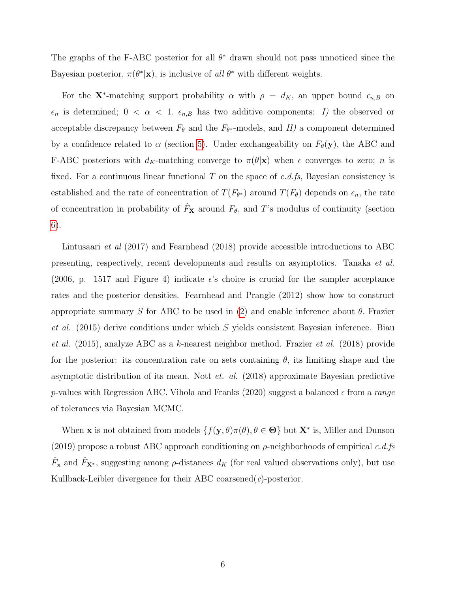The graphs of the F-ABC posterior for all  $\theta^*$  drawn should not pass unnoticed since the Bayesian posterior,  $\pi(\theta^*|\mathbf{x})$ , is inclusive of all  $\theta^*$  with different weights.

For the X<sup>\*</sup>-matching support probability  $\alpha$  with  $\rho = d_K$ , an upper bound  $\epsilon_{n,B}$  on  $\epsilon_n$  is determined;  $0 < \alpha < 1$ .  $\epsilon_{n,B}$  has two additive components: I) the observed or acceptable discrepancy between  $F_{\theta}$  and the  $F_{\theta^*}$ -models, and II) a component determined by a confidence related to  $\alpha$  (section [5\)](#page-15-0). Under exchangeability on  $F_{\theta}(\mathbf{y})$ , the ABC and F-ABC posteriors with  $d_K$ -matching converge to  $\pi(\theta|\mathbf{x})$  when  $\epsilon$  converges to zero; n is fixed. For a continuous linear functional  $T$  on the space of c.d.fs, Bayesian consistency is established and the rate of concentration of  $T(F_{\theta^*})$  around  $T(F_{\theta})$  depends on  $\epsilon_n$ , the rate of concentration in probability of  $\hat{F}_{\mathbf{X}}$  around  $F_{\theta}$ , and T's modulus of continuity (section [6\)](#page-18-0).

Lintusaari et al (2017) and Fearnhead (2018) provide accessible introductions to ABC presenting, respectively, recent developments and results on asymptotics. Tanaka et al. (2006, p. 1517 and Figure 4) indicate  $\epsilon$ 's choice is crucial for the sampler acceptance rates and the posterior densities. Fearnhead and Prangle (2012) show how to construct appropriate summary S for ABC to be used in [\(2\)](#page-2-1) and enable inference about  $\theta$ . Frazier et al.  $(2015)$  derive conditions under which S yields consistent Bayesian inference. Biau et al. (2015), analyze ABC as a k-nearest neighbor method. Frazier et al. (2018) provide for the posterior: its concentration rate on sets containing  $\theta$ , its limiting shape and the asymptotic distribution of its mean. Nott et. al. (2018) approximate Bayesian predictive p-values with Regression ABC. Vihola and Franks (2020) suggest a balanced  $\epsilon$  from a range of tolerances via Bayesian MCMC.

When **x** is not obtained from models  $\{f(\mathbf{y}, \theta)\pi(\theta), \theta \in \Theta\}$  but  $\mathbf{X}^*$  is, Miller and Dunson (2019) propose a robust ABC approach conditioning on  $\rho$ -neighborhoods of empirical c.d.fs  $\hat{F}_{\mathbf{x}}$  and  $\hat{F}_{\mathbf{X}^*}$ , suggesting among  $\rho$ -distances  $d_K$  (for real valued observations only), but use Kullback-Leibler divergence for their ABC coarsened $(c)$ -posterior.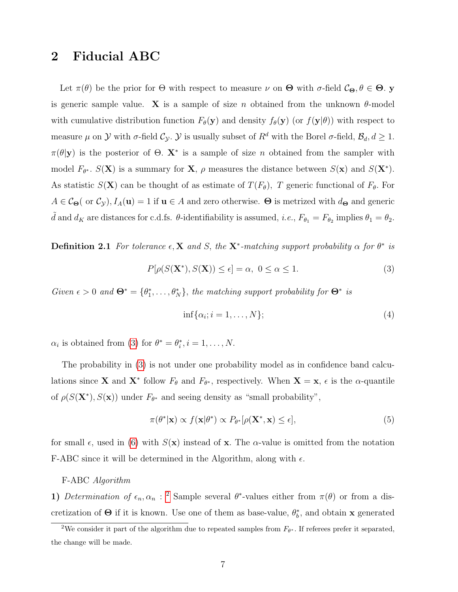## 2 Fiducial ABC

Let  $\pi(\theta)$  be the prior for  $\Theta$  with respect to measure  $\nu$  on  $\Theta$  with  $\sigma$ -field  $C_{\Theta}$ ,  $\theta \in \Theta$ . y is generic sample value. **X** is a sample of size n obtained from the unknown  $\theta$ -model with cumulative distribution function  $F_{\theta}(\mathbf{y})$  and density  $f_{\theta}(\mathbf{y})$  (or  $f(\mathbf{y}|\theta)$ ) with respect to measure  $\mu$  on  $\mathcal Y$  with  $\sigma$ -field  $\mathcal C_{\mathcal Y}$ .  $\mathcal Y$  is usually subset of  $R^d$  with the Borel  $\sigma$ -field,  $\mathcal B_d$ ,  $d \ge 1$ .  $\pi(\theta|\mathbf{y})$  is the posterior of  $\Theta$ .  $\mathbf{X}^*$  is a sample of size *n* obtained from the sampler with model  $F_{\theta^*}$ .  $S(\mathbf{X})$  is a summary for **X**,  $\rho$  measures the distance between  $S(\mathbf{x})$  and  $S(\mathbf{X}^*)$ . As statistic  $S(\mathbf{X})$  can be thought of as estimate of  $T(F_{\theta})$ , T generic functional of  $F_{\theta}$ . For  $A \in \mathcal{C}_{\Theta}(\text{ or } \mathcal{C}_{\mathcal{Y}}), I_A(\mathbf{u}) = 1$  if  $\mathbf{u} \in A$  and zero otherwise.  $\Theta$  is metrized with  $d_{\Theta}$  and generic  $\tilde{d}$  and  $d_K$  are distances for c.d.fs.  $\theta$ -identifiability is assumed, *i.e.*,  $F_{\theta_1} = F_{\theta_2}$  implies  $\theta_1 = \theta_2$ .

**Definition 2.1** For tolerance  $\epsilon$ , **X** and *S*, the **X**<sup>\*</sup>-matching support probability  $\alpha$  for  $\theta^*$  is

<span id="page-6-0"></span>
$$
P[\rho(S(\mathbf{X}^*), S(\mathbf{X})) \le \epsilon] = \alpha, \ 0 \le \alpha \le 1.
$$
 (3)

Given  $\epsilon > 0$  and  $\mathbf{\Theta}^* = {\theta_1^*, \dots, \theta_N^*}$ , the matching support probability for  $\mathbf{\Theta}^*$  is

$$
\inf\{\alpha_i; i = 1, \dots, N\};\tag{4}
$$

 $\alpha_i$  is obtained from [\(3\)](#page-6-0) for  $\theta^* = \theta_i^*, i = 1, \dots, N$ .

The probability in [\(3\)](#page-6-0) is not under one probability model as in confidence band calculations since **X** and **X**<sup>\*</sup> follow  $F_{\theta}$  and  $F_{\theta^*}$ , respectively. When **X** = **x**,  $\epsilon$  is the  $\alpha$ -quantile of  $\rho(S(\mathbf{X}^*), S(\mathbf{x}))$  under  $F_{\theta^*}$  and seeing density as "small probability",

$$
\pi(\theta^*|\mathbf{x}) \propto f(\mathbf{x}|\theta^*) \propto P_{\theta^*}[\rho(\mathbf{X}^*, \mathbf{x}) \le \epsilon],\tag{5}
$$

for small  $\epsilon$ , used in [\(6\)](#page-7-0) with  $S(\mathbf{x})$  instead of x. The  $\alpha$ -value is omitted from the notation F-ABC since it will be determined in the Algorithm, along with  $\epsilon$ .

F-ABC Algorithm

1) Determination of  $\epsilon_n, \alpha_n : \mathbb{R}^2$  $\epsilon_n, \alpha_n : \mathbb{R}^2$  Sample several  $\theta^*$ -values either from  $\pi(\theta)$  or from a discretization of  $\Theta$  if it is known. Use one of them as base-value,  $\theta_b^*$ , and obtain **x** generated

<span id="page-6-1"></span><sup>&</sup>lt;sup>2</sup>We consider it part of the algorithm due to repeated samples from  $F_{\theta^*}$ . If referees prefer it separated, the change will be made.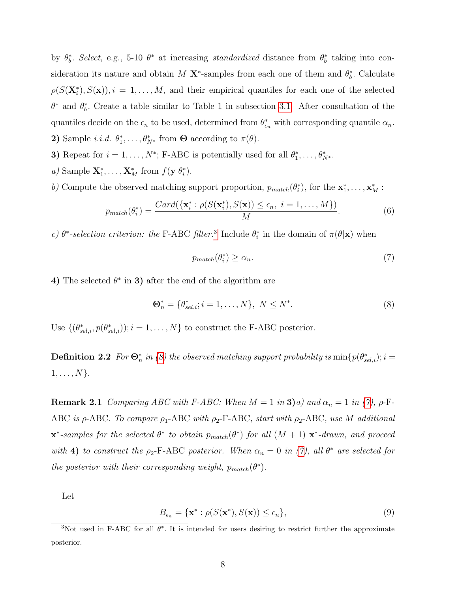by  $\theta_b^*$ . Select, e.g., 5-10  $\theta^*$  at increasing *standardized* distance from  $\theta_b^*$  taking into consideration its nature and obtain M  $\mathbf{X}^*$ -samples from each one of them and  $\theta_b^*$ . Calculate  $\rho(S(\mathbf{X}_{i}^{*}), S(\mathbf{x})), i = 1, \ldots, M$ , and their empirical quantiles for each one of the selected  $\theta^*$  and  $\theta_b^*$ . Create a table similar to Table 1 in subsection [3.1.](#page-9-0) After consultation of the quantiles decide on the  $\epsilon_n$  to be used, determined from  $\theta_{\epsilon_n}^*$  with corresponding quantile  $\alpha_n$ . **2)** Sample *i.i.d.*  $\theta_1^*, \ldots, \theta_{N^*}^*$  from  $\Theta$  according to  $\pi(\theta)$ .

3) Repeat for  $i = 1, ..., N^*$ ; F-ABC is potentially used for all  $\theta_1^*, ..., \theta_{N^*}^*$ .

- a) Sample  $\mathbf{X}_1^*, \ldots, \mathbf{X}_M^*$  from  $f(\mathbf{y}|\theta_i^*)$ .
- b) Compute the observed matching support proportion,  $p_{match}(\theta_i^*),$  for the  $\mathbf{x}_1^*, \ldots, \mathbf{x}_M^*$ :

<span id="page-7-0"></span>
$$
p_{match}(\theta_i^*) = \frac{Card(\{\mathbf{x}_i^* : \rho(S(\mathbf{x}_i^*), S(\mathbf{x})) \le \epsilon_n, i = 1, ..., M\})}{M}.
$$
\n(6)

c)  $\theta^*$ -selection criterion: the F-ABC filter.<sup>[3](#page-7-1)</sup> Include  $\theta_i^*$  in the domain of  $\pi(\theta|\mathbf{x})$  when

<span id="page-7-3"></span>
$$
p_{match}(\theta_i^*) \ge \alpha_n. \tag{7}
$$

4) The selected  $\theta^*$  in 3) after the end of the algorithm are

<span id="page-7-2"></span>
$$
\Theta_n^* = \{ \theta_{sel,i}^*; i = 1, \dots, N \}, \ N \le N^*.
$$
 (8)

<span id="page-7-4"></span>Use  $\{(\theta_{sel,i}^*, p(\theta_{sel,i}^*)); i = 1, \ldots, N\}$  to construct the F-ABC posterior.

**Definition 2.2** For  $\mathbf{\Theta}_n^*$  in [\(8\)](#page-7-2) the observed matching support probability is  $\min\{p(\theta_{sel,i}^*); i =$  $1, \ldots, N$ .

<span id="page-7-5"></span>**Remark 2.1** Comparing ABC with F-ABC: When  $M = 1$  in 3)a) and  $\alpha_n = 1$  in [\(7\)](#page-7-3),  $\rho$ -F-ABC is  $\rho$ -ABC. To compare  $\rho_1$ -ABC with  $\rho_2$ -F-ABC, start with  $\rho_2$ -ABC, use M additional  $\mathbf{x}^*$ -samples for the selected  $\theta^*$  to obtain  $p_{match}(\theta^*)$  for all  $(M + 1)$   $\mathbf{x}^*$ -drawn, and proceed with 4) to construct the  $\rho_2$ -F-ABC posterior. When  $\alpha_n = 0$  in [\(7\)](#page-7-3), all  $\theta^*$  are selected for the posterior with their corresponding weight,  $p_{match}(\theta^*).$ 

Let

<span id="page-7-6"></span>
$$
B_{\epsilon_n} = \{ \mathbf{x}^* : \rho(S(\mathbf{x}^*), S(\mathbf{x})) \le \epsilon_n \},\tag{9}
$$

<span id="page-7-1"></span><sup>&</sup>lt;sup>3</sup>Not used in F-ABC for all  $\theta^*$ . It is intended for users desiring to restrict further the approximate posterior.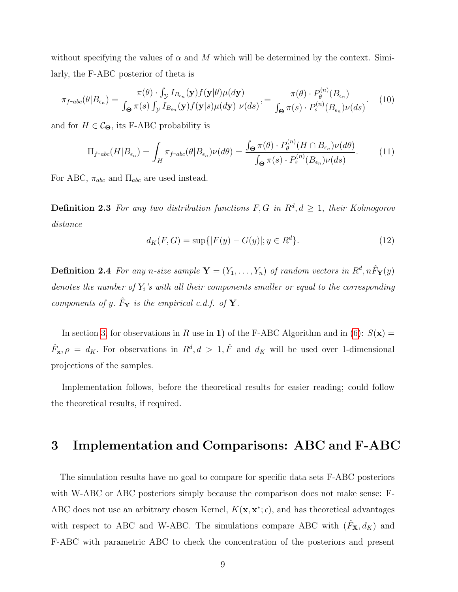without specifying the values of  $\alpha$  and M which will be determined by the context. Similarly, the F-ABC posterior of theta is

<span id="page-8-1"></span>
$$
\pi_{f\text{-}abc}(\theta|B_{\epsilon_n}) = \frac{\pi(\theta) \cdot \int_{\mathcal{Y}} I_{B_{\epsilon_n}}(\mathbf{y}) f(\mathbf{y}|\theta) \mu(d\mathbf{y})}{\int_{\Theta} \pi(s) \int_{\mathcal{Y}} I_{B_{\epsilon_n}}(\mathbf{y}) f(\mathbf{y}|s) \mu(d\mathbf{y}) \nu(ds)} = \frac{\pi(\theta) \cdot P_{\theta}^{(n)}(B_{\epsilon_n})}{\int_{\Theta} \pi(s) \cdot P_{s}^{(n)}(B_{\epsilon_n}) \nu(ds)}.
$$
(10)

and for  $H \in \mathcal{C}_{\Theta}$ , its F-ABC probability is

<span id="page-8-2"></span>
$$
\Pi_{f\text{-}abc}(H|B_{\epsilon_n}) = \int_H \pi_{f\text{-}abc}(\theta|B_{\epsilon_n})\nu(d\theta) = \frac{\int_{\Theta} \pi(\theta) \cdot P_{\theta}^{(n)}(H \cap B_{\epsilon_n})\nu(d\theta)}{\int_{\Theta} \pi(s) \cdot P_s^{(n)}(B_{\epsilon_n})\nu(ds)}.
$$
(11)

For ABC,  $\pi_{abc}$  and  $\Pi_{abc}$  are used instead.

**Definition 2.3** For any two distribution functions F, G in  $R^d$ ,  $d \geq 1$ , their Kolmogorov distance

$$
d_K(F, G) = \sup\{|F(y) - G(y)|; y \in R^d\}.
$$
\n(12)

**Definition 2.4** For any n-size sample  $\mathbf{Y} = (Y_1, \ldots, Y_n)$  of random vectors in  $R^d, n \hat{F}_{\mathbf{Y}}(y)$ denotes the number of  $Y_i$ 's with all their components smaller or equal to the corresponding components of y.  $\hat{F}_{\mathbf{Y}}$  is the empirical c.d.f. of **Y**.

In section [3,](#page-8-0) for observations in R use in 1) of the F-ABC Algorithm and in [\(6\)](#page-7-0):  $S(\mathbf{x}) =$  $\hat{F}_{\mathbf{x}}, \rho = d_K$ . For observations in  $R^d, d > 1, \hat{F}$  and  $d_K$  will be used over 1-dimensional projections of the samples.

Implementation follows, before the theoretical results for easier reading; could follow the theoretical results, if required.

## <span id="page-8-0"></span>3 Implementation and Comparisons: ABC and F-ABC

The simulation results have no goal to compare for specific data sets F-ABC posteriors with W-ABC or ABC posteriors simply because the comparison does not make sense: F-ABC does not use an arbitrary chosen Kernel,  $K(\mathbf{x}, \mathbf{x}^*, \epsilon)$ , and has theoretical advantages with respect to ABC and W-ABC. The simulations compare ABC with  $(\hat{F}_{\mathbf{X}}, d_K)$  and F-ABC with parametric ABC to check the concentration of the posteriors and present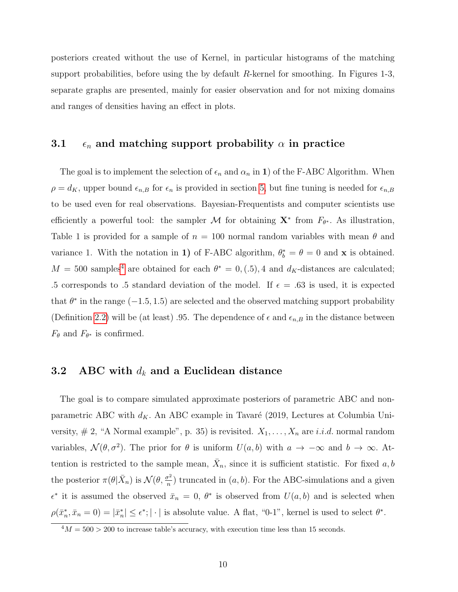posteriors created without the use of Kernel, in particular histograms of the matching support probabilities, before using the by default R-kernel for smoothing. In Figures 1-3, separate graphs are presented, mainly for easier observation and for not mixing domains and ranges of densities having an effect in plots.

#### <span id="page-9-0"></span>3.1  $\epsilon_n$  and matching support probability  $\alpha$  in practice

The goal is to implement the selection of  $\epsilon_n$  and  $\alpha_n$  in 1) of the F-ABC Algorithm. When  $\rho = d_K$ , upper bound  $\epsilon_{n,B}$  for  $\epsilon_n$  is provided in section [5,](#page-15-0) but fine tuning is needed for  $\epsilon_{n,B}$ to be used even for real observations. Bayesian-Frequentists and computer scientists use efficiently a powerful tool: the sampler M for obtaining  $X^*$  from  $F_{\theta^*}$ . As illustration, Table 1 is provided for a sample of  $n = 100$  normal random variables with mean  $\theta$  and variance 1. With the notation in 1) of F-ABC algorithm,  $\theta_b^* = \theta = 0$  and **x** is obtained.  $M = 500$  samples<sup>[4](#page-9-1)</sup> are obtained for each  $\theta^* = 0$ , (.5), 4 and  $d_K$ -distances are calculated; .5 corresponds to .5 standard deviation of the model. If  $\epsilon = .63$  is used, it is expected that  $\theta^*$  in the range (-1.5, 1.5) are selected and the observed matching support probability (Definition [2.2\)](#page-7-4) will be (at least) .95. The dependence of  $\epsilon$  and  $\epsilon_{n,B}$  in the distance between  $F_{\theta}$  and  $F_{\theta^*}$  is confirmed.

#### <span id="page-9-2"></span>3.2 ABC with  $d_k$  and a Euclidean distance

The goal is to compare simulated approximate posteriors of parametric ABC and nonparametric ABC with  $d_K$ . An ABC example in Tavaré (2019, Lectures at Columbia University,  $\# 2$ , "A Normal example", p. 35) is revisited.  $X_1, \ldots, X_n$  are *i.i.d.* normal random variables,  $\mathcal{N}(\theta, \sigma^2)$ . The prior for  $\theta$  is uniform  $U(a, b)$  with  $a \to -\infty$  and  $b \to \infty$ . Attention is restricted to the sample mean,  $\bar{X}_n$ , since it is sufficient statistic. For fixed a, b the posterior  $\pi(\theta|\bar{X}_n)$  is  $\mathcal{N}(\theta, \frac{\sigma^2}{n})$  $\frac{\sigma^2}{n}$ ) truncated in  $(a, b)$ . For the ABC-simulations and a given  $\epsilon^*$  it is assumed the observed  $\bar{x}_n = 0$ ,  $\theta^*$  is observed from  $U(a, b)$  and is selected when  $\rho(\bar{x}_n^*, \bar{x}_n = 0) = |\bar{x}_n^*| \leq \epsilon^*; |\cdot|$  is absolute value. A flat, "0-1", kernel is used to select  $\theta^*$ .

<span id="page-9-1"></span> $4M = 500 > 200$  to increase table's accuracy, with execution time less than 15 seconds.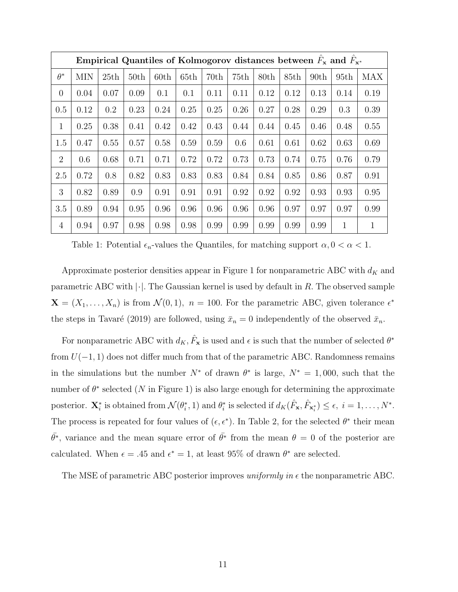| Empirical Quantiles of Kolmogorov distances between $F_x$ and $F_{x^*}$ |            |      |      |      |      |      |      |      |      |                  |      |              |
|-------------------------------------------------------------------------|------------|------|------|------|------|------|------|------|------|------------------|------|--------------|
| $\theta^*$                                                              | <b>MIN</b> | 25th | 50th | 60th | 65th | 70th | 75th | 80th | 85th | 90 <sub>th</sub> | 95th | <b>MAX</b>   |
| $\theta$                                                                | 0.04       | 0.07 | 0.09 | 0.1  | 0.1  | 0.11 | 0.11 | 0.12 | 0.12 | 0.13             | 0.14 | 0.19         |
| 0.5                                                                     | 0.12       | 0.2  | 0.23 | 0.24 | 0.25 | 0.25 | 0.26 | 0.27 | 0.28 | 0.29             | 0.3  | 0.39         |
| $\mathbf{1}$                                                            | 0.25       | 0.38 | 0.41 | 0.42 | 0.42 | 0.43 | 0.44 | 0.44 | 0.45 | 0.46             | 0.48 | 0.55         |
| 1.5                                                                     | 0.47       | 0.55 | 0.57 | 0.58 | 0.59 | 0.59 | 0.6  | 0.61 | 0.61 | 0.62             | 0.63 | 0.69         |
| $\overline{2}$                                                          | 0.6        | 0.68 | 0.71 | 0.71 | 0.72 | 0.72 | 0.73 | 0.73 | 0.74 | 0.75             | 0.76 | 0.79         |
| 2.5                                                                     | 0.72       | 0.8  | 0.82 | 0.83 | 0.83 | 0.83 | 0.84 | 0.84 | 0.85 | 0.86             | 0.87 | 0.91         |
| 3                                                                       | 0.82       | 0.89 | 0.9  | 0.91 | 0.91 | 0.91 | 0.92 | 0.92 | 0.92 | 0.93             | 0.93 | 0.95         |
| 3.5                                                                     | 0.89       | 0.94 | 0.95 | 0.96 | 0.96 | 0.96 | 0.96 | 0.96 | 0.97 | 0.97             | 0.97 | 0.99         |
| $\overline{4}$                                                          | 0.94       | 0.97 | 0.98 | 0.98 | 0.98 | 0.99 | 0.99 | 0.99 | 0.99 | 0.99             | 1    | $\mathbf{1}$ |

Table 1: Potential  $\epsilon_n$ -values the Quantiles, for matching support  $\alpha, 0 < \alpha < 1$ .

Approximate posterior densities appear in Figure 1 for nonparametric ABC with  $d_K$  and parametric ABC with  $|\cdot|$ . The Gaussian kernel is used by default in R. The observed sample  $\mathbf{X} = (X_1, \ldots, X_n)$  is from  $\mathcal{N}(0, 1)$ ,  $n = 100$ . For the parametric ABC, given tolerance  $\epsilon^*$ the steps in Tavaré (2019) are followed, using  $\bar{x}_n = 0$  independently of the observed  $\bar{x}_n$ .

For nonparametric ABC with  $d_K$ ,  $\hat{F}_x$  is used and  $\epsilon$  is such that the number of selected  $\theta^*$ from  $U(-1, 1)$  does not differ much from that of the parametric ABC. Randomness remains in the simulations but the number  $N^*$  of drawn  $\theta^*$  is large,  $N^* = 1,000$ , such that the number of  $\theta^*$  selected (N in Figure 1) is also large enough for determining the approximate posterior.  $\mathbf{X}_{i}^{*}$  is obtained from  $\mathcal{N}(\theta_{i}^{*}, 1)$  and  $\theta_{i}^{*}$  is selected if  $d_{K}(\hat{F}_{\mathbf{x}}, \hat{F}_{\mathbf{x}_{i}^{*}}) \leq \epsilon, i = 1, ..., N^{*}$ . The process is repeated for four values of  $(\epsilon, \epsilon^*)$ . In Table 2, for the selected  $\theta^*$  their mean  $\bar{\theta^*}$ , variance and the mean square error of  $\bar{\theta^*}$  from the mean  $\theta = 0$  of the posterior are calculated. When  $\epsilon = .45$  and  $\epsilon^* = 1$ , at least 95% of drawn  $\theta^*$  are selected.

The MSE of parametric ABC posterior improves uniformly in  $\epsilon$  the nonparametric ABC.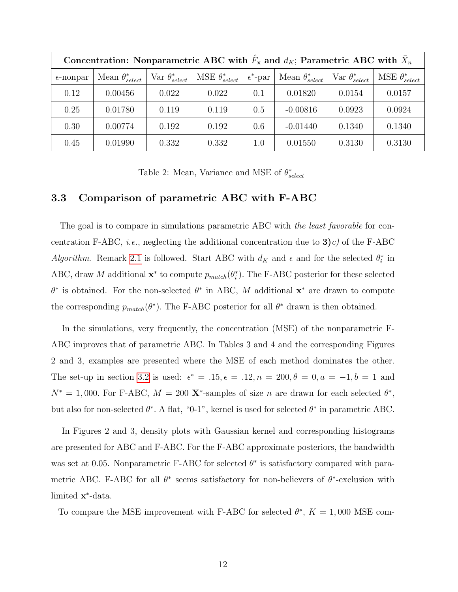| Concentration: Nonparametric ABC with $\hat{F}_x$ and $d_K$ ; Parametric ABC with $\bar{X}_n$ |                          |                         |                         |                   |                          |                         |                         |  |
|-----------------------------------------------------------------------------------------------|--------------------------|-------------------------|-------------------------|-------------------|--------------------------|-------------------------|-------------------------|--|
| $\epsilon$ -nonpar                                                                            | Mean $\theta^*_{select}$ | Var $\theta^*_{select}$ | MSE $\theta^*_{select}$ | $\epsilon^*$ -par | Mean $\theta^*_{select}$ | Var $\theta^*_{select}$ | MSE $\theta^*_{select}$ |  |
| 0.12                                                                                          | 0.00456                  | 0.022                   | 0.022                   | 0.1               | 0.01820                  | 0.0154                  | 0.0157                  |  |
| 0.25                                                                                          | 0.01780                  | 0.119                   | 0.119                   | 0.5               | $-0.00816$               | 0.0923                  | 0.0924                  |  |
| 0.30                                                                                          | 0.00774                  | 0.192                   | 0.192                   | 0.6               | $-0.01440$               | 0.1340                  | 0.1340                  |  |
| 0.45                                                                                          | 0.01990                  | 0.332                   | 0.332                   | $1.0\,$           | 0.01550                  | 0.3130                  | 0.3130                  |  |

Table 2: Mean, Variance and MSE of  $\theta^*_{select}$ 

#### <span id="page-11-0"></span>3.3 Comparison of parametric ABC with F-ABC

The goal is to compare in simulations parametric ABC with the least favorable for concentration F-ABC, *i.e.*, neglecting the additional concentration due to  $3)c$  of the F-ABC Algorithm. Remark [2.1](#page-7-5) is followed. Start ABC with  $d_K$  and  $\epsilon$  and for the selected  $\theta_i^*$  in ABC, draw M additional  $\mathbf{x}^*$  to compute  $p_{match}(\theta_i^*)$ . The F-ABC posterior for these selected  $\theta^*$  is obtained. For the non-selected  $\theta^*$  in ABC, M additional  $\mathbf{x}^*$  are drawn to compute the corresponding  $p_{match}(\theta^*)$ . The F-ABC posterior for all  $\theta^*$  drawn is then obtained.

In the simulations, very frequently, the concentration (MSE) of the nonparametric F-ABC improves that of parametric ABC. In Tables 3 and 4 and the corresponding Figures 2 and 3, examples are presented where the MSE of each method dominates the other. The set-up in section [3.2](#page-9-2) is used:  $\epsilon^* = .15$ ,  $\epsilon = .12$ ,  $n = 200$ ,  $\theta = 0$ ,  $a = -1$ ,  $b = 1$  and  $N^* = 1,000.$  For F-ABC,  $M = 200$  X<sup>\*</sup>-samples of size n are drawn for each selected  $\theta^*$ , but also for non-selected  $\theta^*$ . A flat, "0-1", kernel is used for selected  $\theta^*$  in parametric ABC.

In Figures 2 and 3, density plots with Gaussian kernel and corresponding histograms are presented for ABC and F-ABC. For the F-ABC approximate posteriors, the bandwidth was set at 0.05. Nonparametric F-ABC for selected  $\theta^*$  is satisfactory compared with parametric ABC. F-ABC for all  $\theta^*$  seems satisfactory for non-believers of  $\theta^*$ -exclusion with limited **x**<sup>\*</sup>-data.

To compare the MSE improvement with F-ABC for selected  $\theta^*$ ,  $K = 1,000$  MSE com-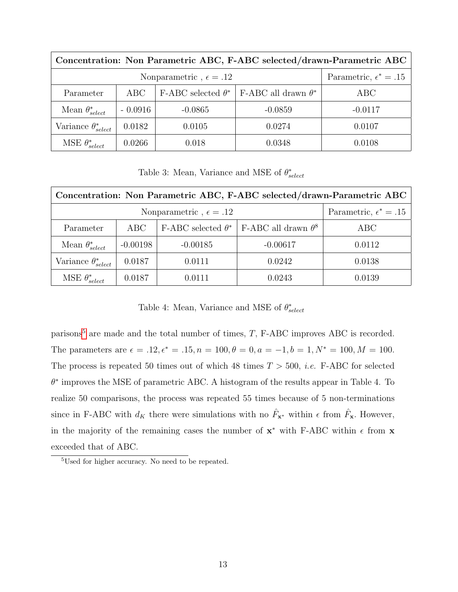| Concentration: Non Parametric ABC, F-ABC selected/drawn-Parametric ABC |                                  |           |                            |           |  |  |  |
|------------------------------------------------------------------------|----------------------------------|-----------|----------------------------|-----------|--|--|--|
|                                                                        | Parametric, $\epsilon^* = .15$   |           |                            |           |  |  |  |
| Parameter                                                              | F-ABC selected $\theta^*$<br>ABC |           | F-ABC all drawn $\theta^*$ | ABC       |  |  |  |
| Mean $\theta^*_{select}$                                               | $-0.0916$                        | $-0.0865$ | $-0.0859$                  | $-0.0117$ |  |  |  |
| Variance $\theta^*_{select}$                                           | 0.0182                           | 0.0105    | 0.0274                     | 0.0107    |  |  |  |
| MSE $\theta^*_{select}$                                                | 0.0266                           | 0.018     | 0.0348                     | 0.0108    |  |  |  |

Table 3: Mean, Variance and MSE of  $\theta^*_{select}$ 

| Concentration: Non Parametric ABC, F-ABC selected/drawn-Parametric ABC |                                |                           |                            |        |  |  |  |
|------------------------------------------------------------------------|--------------------------------|---------------------------|----------------------------|--------|--|--|--|
|                                                                        | Parametric, $\epsilon^* = .15$ |                           |                            |        |  |  |  |
| Parameter                                                              | ABC                            | F-ABC selected $\theta^*$ | F-ABC all drawn $\theta^8$ | ABC    |  |  |  |
| Mean $\theta^*_{select}$                                               | $-0.00198$                     | $-0.00185$                | $-0.00617$                 | 0.0112 |  |  |  |
| Variance $\theta^*_{select}$                                           | 0.0187                         | 0.0111                    | 0.0242                     | 0.0138 |  |  |  |
| MSE $\theta^*_{select}$                                                | 0.0187                         | 0.0111                    | 0.0243                     | 0.0139 |  |  |  |

Table 4: Mean, Variance and MSE of  $\theta^*_{select}$ 

parisons<sup>[5](#page-12-0)</sup> are made and the total number of times,  $T$ , F-ABC improves ABC is recorded. The parameters are  $\epsilon = .12, \epsilon^* = .15, n = 100, \theta = 0, a = -1, b = 1, N^* = 100, M = 100.$ The process is repeated 50 times out of which 48 times  $T > 500$ , *i.e.* F-ABC for selected  $\theta^*$  improves the MSE of parametric ABC. A histogram of the results appear in Table 4. To realize 50 comparisons, the process was repeated 55 times because of 5 non-terminations since in F-ABC with  $d_K$  there were simulations with no  $\hat{F}_{\mathbf{x}^*}$  within  $\epsilon$  from  $\hat{F}_{\mathbf{x}}$ . However, in the majority of the remaining cases the number of  $x^*$  with F-ABC within  $\epsilon$  from x exceeded that of ABC.

<span id="page-12-0"></span><sup>5</sup>Used for higher accuracy. No need to be repeated.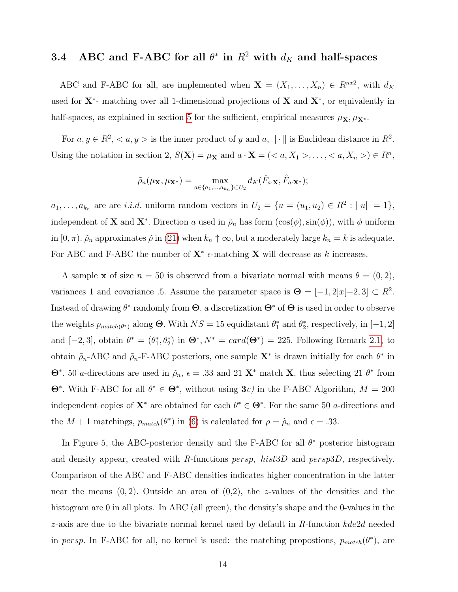## <span id="page-13-0"></span>3.4 ABC and F-ABC for all  $\theta^*$  in  $R^2$  with  $d_K$  and half-spaces

ABC and F-ABC for all, are implemented when  $\mathbf{X} = (X_1, \ldots, X_n) \in R^{nx^2}$ , with  $d_K$ used for  $X^*$ - matching over all 1-dimensional projections of  $X$  and  $X^*$ , or equivalently in half-spaces, as explained in section [5](#page-15-0) for the sufficient, empirical measures  $\mu_X, \mu_{X^*}$ .

For  $a, y \in R^2$ ,  $\langle a, y \rangle$  is the inner product of y and  $a, ||\cdot||$  is Euclidean distance in  $R^2$ . Using the notation in section 2,  $S(\mathbf{X}) = \mu_{\mathbf{X}}$  and  $a \cdot \mathbf{X} = \{ \langle a, X_1 \rangle, \dots, \langle a, X_n \rangle \} \in \mathbb{R}^n$ ,

$$
\tilde{\rho}_n(\mu_{\mathbf{X}}, \mu_{\mathbf{X}^*}) = \max_{a \in \{a_1, \dots, a_{kn}\} \subset U_2} d_K(\hat{F}_{a \cdot \mathbf{X}}, \hat{F}_{a \cdot \mathbf{X}^*});
$$

 $a_1, ..., a_{k_n}$  are are *i.i.d.* uniform random vectors in  $U_2 = \{u = (u_1, u_2) \in R^2 : ||u|| = 1\},\$ independent of **X** and **X**<sup>\*</sup>. Direction a used in  $\tilde{\rho}_n$  has form  $(\cos(\phi), \sin(\phi))$ , with  $\phi$  uniform in  $[0, \pi)$ .  $\tilde{\rho}_n$  approximates  $\tilde{\rho}$  in [\(21\)](#page-16-0) when  $k_n \uparrow \infty$ , but a moderately large  $k_n = k$  is adequate. For ABC and F-ABC the number of  $X^*$   $\epsilon$ -matching X will decrease as k increases.

A sample **x** of size  $n = 50$  is observed from a bivariate normal with means  $\theta = (0, 2)$ , variances 1 and covariance .5. Assume the parameter space is  $\Theta = [-1, 2]x[-2, 3] \subset R^2$ . Instead of drawing  $\theta^*$  randomly from  $\Theta$ , a discretization  $\Theta^*$  of  $\Theta$  is used in order to observe the weights  $p_{match(\theta^*)}$  along  $\Theta$ . With  $NS = 15$  equidistant  $\theta_1^*$  and  $\theta_2^*$ , respectively, in  $[-1, 2]$ and  $[-2,3]$ , obtain  $\theta^* = (\theta_1^*, \theta_2^*)$  in  $\Theta^*, N^* = card(\Theta^*) = 225$ . Following Remark [2.1,](#page-7-5) to obtain  $\tilde{\rho}_n$ -ABC and  $\tilde{\rho}_n$ -F-ABC posteriors, one sample  $\mathbf{X}^*$  is drawn initially for each  $\theta^*$  in  $Θ^*$ . 50 *a*-directions are used in  $\tilde{\rho}_n$ ,  $\epsilon = .33$  and 21 **X**<sup>\*</sup> match **X**, thus selecting 21  $θ^*$  from  $\Theta^*$ . With F-ABC for all  $\theta^* \in \Theta^*$ , without using  $3c$ ) in the F-ABC Algorithm,  $M = 200$ independent copies of  $\mathbf{X}^*$  are obtained for each  $\theta^* \in \Theta^*$ . For the same 50 *a*-directions and the  $M+1$  matchings,  $p_{match}(\theta^*)$  in [\(6\)](#page-7-0) is calculated for  $\rho = \tilde{\rho}_n$  and  $\epsilon = .33$ .

In Figure 5, the ABC-posterior density and the F-ABC for all  $\theta^*$  posterior histogram and density appear, created with R-functions persp, hist $3D$  and persp $3D$ , respectively. Comparison of the ABC and F-ABC densities indicates higher concentration in the latter near the means  $(0, 2)$ . Outside an area of  $(0, 2)$ , the z-values of the densities and the histogram are 0 in all plots. In ABC (all green), the density's shape and the 0-values in the z-axis are due to the bivariate normal kernel used by default in R-function  $kde2d$  needed in persp. In F-ABC for all, no kernel is used: the matching propostions,  $p_{match}(\theta^*)$ , are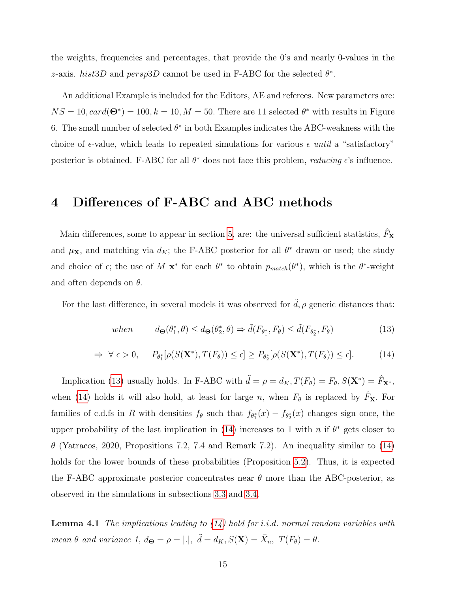the weights, frequencies and percentages, that provide the 0's and nearly 0-values in the z-axis. hist3D and persp3D cannot be used in F-ABC for the selected  $\theta^*$ .

An additional Example is included for the Editors, AE and referees. New parameters are:  $NS = 10, card(\mathbf{\Theta}^*) = 100, k = 10, M = 50.$  There are 11 selected  $\theta^*$  with results in Figure 6. The small number of selected  $\theta^*$  in both Examples indicates the ABC-weakness with the choice of  $\epsilon$ -value, which leads to repeated simulations for various  $\epsilon$  until a "satisfactory" posterior is obtained. F-ABC for all  $\theta^*$  does not face this problem, *reducing*  $\epsilon$ 's influence.

## 4 Differences of F-ABC and ABC methods

Main differences, some to appear in section [5,](#page-15-0) are: the universal sufficient statistics,  $\hat{F}_{\mathbf{X}}$ and  $\mu_X$ , and matching via  $d_K$ ; the F-ABC posterior for all  $\theta^*$  drawn or used; the study and choice of  $\epsilon$ ; the use of M  $\mathbf{x}^*$  for each  $\theta^*$  to obtain  $p_{match}(\theta^*)$ , which is the  $\theta^*$ -weight and often depends on  $\theta$ .

For the last difference, in several models it was observed for  $\tilde{d}$ ,  $\rho$  generic distances that:

<span id="page-14-0"></span>
$$
when \t d_{\Theta}(\theta_1^*, \theta) \le d_{\Theta}(\theta_2^*, \theta) \Rightarrow \tilde{d}(F_{\theta_1^*}, F_{\theta}) \le \tilde{d}(F_{\theta_2^*}, F_{\theta}) \t (13)
$$

<span id="page-14-1"></span>
$$
\Rightarrow \forall \epsilon > 0, \quad P_{\theta_1^*}[\rho(S(\mathbf{X}^*), T(F_{\theta})) \le \epsilon] \ge P_{\theta_2^*}[\rho(S(\mathbf{X}^*), T(F_{\theta})) \le \epsilon]. \tag{14}
$$

Implication [\(13\)](#page-14-0) usually holds. In F-ABC with  $\tilde{d} = \rho = d_K$ ,  $T(F_{\theta}) = F_{\theta}$ ,  $S(\mathbf{X}^*) = \hat{F}_{\mathbf{X}^*}$ , when [\(14\)](#page-14-1) holds it will also hold, at least for large n, when  $F_{\theta}$  is replaced by  $\hat{F}_{\mathbf{X}}$ . For families of c.d.fs in R with densities  $f_{\theta}$  such that  $f_{\theta_1^*}(x) - f_{\theta_2^*}(x)$  changes sign once, the upper probability of the last implication in [\(14\)](#page-14-1) increases to 1 with n if  $\theta^*$  gets closer to  $\theta$  (Yatracos, 2020, Propositions 7.2, 7.4 and Remark 7.2). An inequality similar to [\(14\)](#page-14-1) holds for the lower bounds of these probabilities (Proposition [5.2\)](#page-18-1). Thus, it is expected the F-ABC approximate posterior concentrates near  $\theta$  more than the ABC-posterior, as observed in the simulations in subsections [3.3](#page-11-0) and [3.4.](#page-13-0)

<span id="page-14-2"></span>**Lemma 4.1** The implications leading to  $(14)$  hold for i.i.d. normal random variables with mean  $\theta$  and variance 1,  $d_{\Theta} = \rho = |.|$ ,  $\tilde{d} = d_K$ ,  $S(\mathbf{X}) = \bar{X}_n$ ,  $T(F_{\theta}) = \theta$ .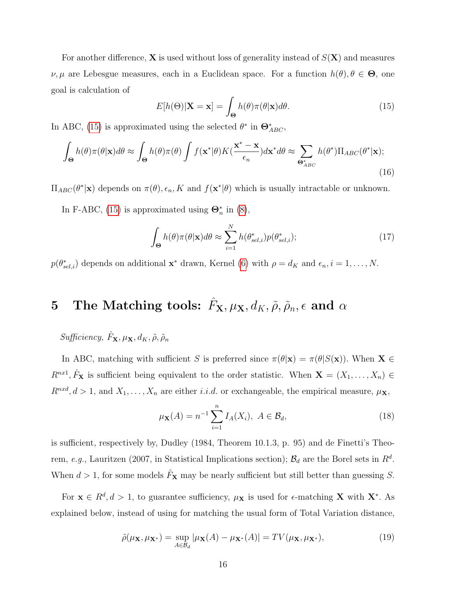For another difference,  $X$  is used without loss of generality instead of  $S(X)$  and measures  $\nu, \mu$  are Lebesgue measures, each in a Euclidean space. For a function  $h(\theta), \theta \in \Theta$ , one goal is calculation of

<span id="page-15-1"></span>
$$
E[h(\Theta)|\mathbf{X} = \mathbf{x}] = \int_{\Theta} h(\theta)\pi(\theta|\mathbf{x})d\theta.
$$
 (15)

In ABC, [\(15\)](#page-15-1) is approximated using the selected  $\theta^*$  in  $\Theta^*_{ABC}$ ,

$$
\int_{\Theta} h(\theta) \pi(\theta | \mathbf{x}) d\theta \approx \int_{\Theta} h(\theta) \pi(\theta) \int f(\mathbf{x}^* | \theta) K(\frac{\mathbf{x}^* - \mathbf{x}}{\epsilon_n}) d\mathbf{x}^* d\theta \approx \sum_{\Theta_{ABC}^*} h(\theta^*) \Pi_{ABC}(\theta^* | \mathbf{x});
$$
\n(16)

 $\Pi_{ABC}(\theta^*|\mathbf{x})$  depends on  $\pi(\theta), \epsilon_n, K$  and  $f(\mathbf{x}^*|\theta)$  which is usually intractable or unknown.

In F-ABC, [\(15\)](#page-15-1) is approximated using  $\mathbf{\Theta}_{n}^{*}$  in [\(8\)](#page-7-2),

$$
\int_{\Theta} h(\theta) \pi(\theta | \mathbf{x}) d\theta \approx \sum_{i=1}^{N} h(\theta_{sel,i}^*) p(\theta_{sel,i}^*);
$$
\n(17)

 $p(\theta_{sel,i}^*)$  depends on additional  $\mathbf{x}^*$  drawn, Kernel [\(6\)](#page-7-0) with  $\rho = d_K$  and  $\epsilon_n, i = 1, \ldots, N$ .

## <span id="page-15-0"></span>5 The Matching tools:  $\hat{F}_{\mathbf{X}}, \mu_{\mathbf{X}}, d_K, \tilde{\rho}, \tilde{\rho}_n, \epsilon$  and  $\alpha$

## Sufficiency,  $\hat{F}_{\mathbf{X}}, \mu_{\mathbf{X}}, d_K, \tilde{\rho}, \tilde{\rho}_n$

In ABC, matching with sufficient S is preferred since  $\pi(\theta|\mathbf{x}) = \pi(\theta|S(\mathbf{x}))$ . When  $\mathbf{X} \in$  $R^{nx1}, \hat{F}_{\mathbf{X}}$  is sufficient being equivalent to the order statistic. When  $\mathbf{X} = (X_1, \ldots, X_n) \in$  $R^{nxd}, d > 1$ , and  $X_1, \ldots, X_n$  are either *i.i.d.* or exchangeable, the empirical measure,  $\mu_{\mathbf{X}}$ ,

<span id="page-15-3"></span>
$$
\mu_{\mathbf{X}}(A) = n^{-1} \sum_{i=1}^{n} I_A(X_i), \ A \in \mathcal{B}_d,
$$
\n(18)

is sufficient, respectively by, Dudley (1984, Theorem 10.1.3, p. 95) and de Finetti's Theorem, e.g., Lauritzen (2007, in Statistical Implications section);  $\mathcal{B}_d$  are the Borel sets in  $R^d$ . When  $d > 1$ , for some models  $\hat{F}_{\mathbf{X}}$  may be nearly sufficient but still better than guessing S.

For  $\mathbf{x} \in R^d, d > 1$ , to guarantee sufficiency,  $\mu_{\mathbf{X}}$  is used for  $\epsilon$ -matching **X** with **X**<sup>\*</sup>. As explained below, instead of using for matching the usual form of Total Variation distance,

<span id="page-15-2"></span>
$$
\tilde{\rho}(\mu_{\mathbf{X}}, \mu_{\mathbf{X}^*}) = \sup_{A \in \mathcal{B}_d} |\mu_{\mathbf{X}}(A) - \mu_{\mathbf{X}^*}(A)| = TV(\mu_{\mathbf{X}}, \mu_{\mathbf{X}^*}),
$$
\n(19)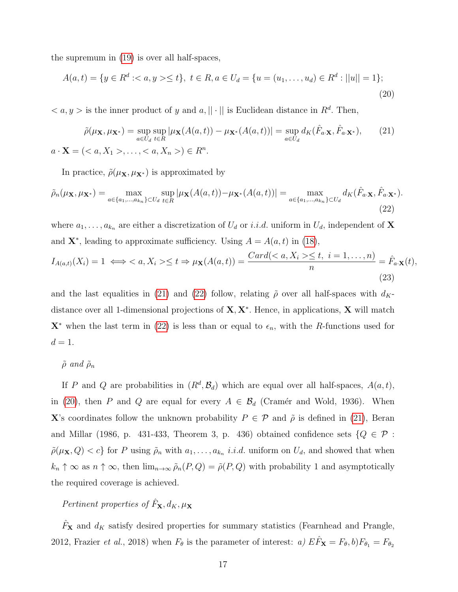the supremum in [\(19\)](#page-15-2) is over all half-spaces,

<span id="page-16-2"></span>
$$
A(a,t) = \{ y \in R^d : \langle a, y \rangle \le t \}, \ t \in R, a \in U_d = \{ u = (u_1, \dots, u_d) \in R^d : ||u|| = 1 \};
$$
\n
$$
(20)
$$

 $a, y >$  is the inner product of y and a,  $\|\cdot\|$  is Euclidean distance in  $\mathbb{R}^d$ . Then,

<span id="page-16-0"></span>
$$
\tilde{\rho}(\mu_{\mathbf{X}}, \mu_{\mathbf{X}^*}) = \sup_{a \in U_d} \sup_{t \in R} |\mu_{\mathbf{X}}(A(a, t)) - \mu_{\mathbf{X}^*}(A(a, t))| = \sup_{a \in U_d} d_K(\hat{F}_{a, \mathbf{X}}, \hat{F}_{a, \mathbf{X}^*}), \qquad (21)
$$
  

$$
a \cdot \mathbf{X} = \langle \langle a, X_1 \rangle, \dots, \langle a, X_n \rangle \rangle \in R^n.
$$

In practice,  $\tilde{\rho}(\mu_{\mathbf{X}}, \mu_{\mathbf{X}^*})$  is approximated by

<span id="page-16-1"></span>
$$
\tilde{\rho}_n(\mu_\mathbf{X}, \mu_\mathbf{X^*}) = \max_{a \in \{a_1, \dots, a_{k_n}\} \subset U_d} \sup_{t \in R} |\mu_\mathbf{X}(A(a, t)) - \mu_\mathbf{X^*}(A(a, t))| = \max_{a \in \{a_1, \dots, a_{k_n}\} \subset U_d} d_K(\hat{F}_{a, \mathbf{X}}, \hat{F}_{a, \mathbf{X^*}}).
$$
\n(22)

where  $a_1, \ldots, a_{k_n}$  are either a discretization of  $U_d$  or i.i.d. uniform in  $U_d$ , independent of **X** and  $\mathbf{X}^*$ , leading to approximate sufficiency. Using  $A = A(a, t)$  in [\(18\)](#page-15-3),

$$
I_{A(a,t)}(X_i) = 1 \iff  \leq t \Rightarrow \mu_{\mathbf{X}}(A(a,t)) = \frac{Card( \leq t, i = 1,\dots, n)}{n} = \hat{F}_{a\cdot\mathbf{X}}(t),
$$
\n(23)

and the last equalities in [\(21\)](#page-16-0) and [\(22\)](#page-16-1) follow, relating  $\tilde{\rho}$  over all half-spaces with  $d_K$ distance over all 1-dimensional projections of  $X, X^*$ . Hence, in applications, X will match  $\mathbf{X}^*$  when the last term in [\(22\)](#page-16-1) is less than or equal to  $\epsilon_n$ , with the R-functions used for  $d=1$ .

#### $\tilde{\rho}$  and  $\tilde{\rho}_n$

If P and Q are probabilities in  $(R^d, \mathcal{B}_d)$  which are equal over all half-spaces,  $A(a, t)$ , in [\(20\)](#page-16-2), then P and Q are equal for every  $A \in \mathcal{B}_d$  (Cramér and Wold, 1936). When X's coordinates follow the unknown probability  $P \in \mathcal{P}$  and  $\tilde{\rho}$  is defined in [\(21\)](#page-16-0), Beran and Millar (1986, p. 431-433, Theorem 3, p. 436) obtained confidence sets  $\{Q \in \mathcal{P}$ :  $\tilde{\rho}(\mu_X, Q) < c$  for P using  $\tilde{\rho}_n$  with  $a_1, \ldots, a_{k_n}$  *i.i.d.* uniform on  $U_d$ , and showed that when  $k_n \uparrow \infty$  as  $n \uparrow \infty$ , then  $\lim_{n\to\infty} \tilde{\rho}_n(P,Q) = \tilde{\rho}(P,Q)$  with probability 1 and asymptotically the required coverage is achieved.

### Pertinent properties of  $\hat{F}_{\mathbf{X}}, d_K, \mu_{\mathbf{X}}$

 $F<sub>X</sub>$  and  $d<sub>K</sub>$  satisfy desired properties for summary statistics (Fearnhead and Prangle, 2012, Frazier *et al.*, 2018) when  $F_{\theta}$  is the parameter of interest: a)  $E\hat{F}_{\mathbf{X}} = F_{\theta}, b)F_{\theta_1} = F_{\theta_2}$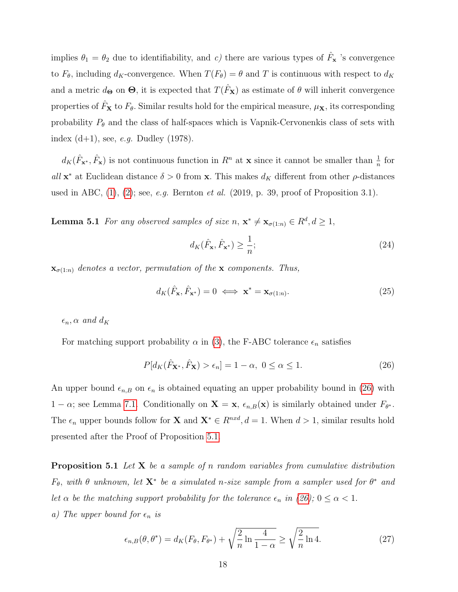implies  $\theta_1 = \theta_2$  due to identifiability, and c) there are various types of  $\hat{F}_\mathbf{x}$  's convergence to  $F_{\theta}$ , including  $d_K$ -convergence. When  $T(F_{\theta}) = \theta$  and T is continuous with respect to  $d_K$ and a metric  $d_{\Theta}$  on  $\Theta$ , it is expected that  $T(\hat{F}_{\mathbf{X}})$  as estimate of  $\theta$  will inherit convergence properties of  $\hat{F}_{\mathbf{X}}$  to  $F_{\theta}$ . Similar results hold for the empirical measure,  $\mu_{\mathbf{X}}$ , its corresponding probability  $P_{\theta}$  and the class of half-spaces which is Vapnik-Cervonenkis class of sets with index  $(d+1)$ , see, *e.g.* Dudley (1978).

 $d_K(\hat{F}_{\mathbf{x}^*}, \hat{F}_{\mathbf{x}})$  is not continuous function in  $R^n$  at  $\mathbf{x}$  since it cannot be smaller than  $\frac{1}{n}$  for all  $\mathbf{x}^*$  at Euclidean distance  $\delta > 0$  from x. This makes  $d_K$  different from other  $\rho$ -distances used in ABC,  $(1)$ ,  $(2)$ ; see, *e.g.* Bernton *et al.*  $(2019, p. 39, proof of Proposition 3.1)$ .

<span id="page-17-3"></span>**Lemma 5.1** For any observed samples of size  $n, \mathbf{x}^* \neq \mathbf{x}_{\sigma(1:n)} \in R^d, d \geq 1$ ,

$$
d_K(\hat{F}_\mathbf{x}, \hat{F}_{\mathbf{x}^*}) \ge \frac{1}{n};\tag{24}
$$

 $\mathbf{x}_{\sigma(1:n)}$  denotes a vector, permutation of the **x** components. Thus,

$$
d_K(\hat{F}_\mathbf{x}, \hat{F}_{\mathbf{x}^*}) = 0 \iff \mathbf{x}^* = \mathbf{x}_{\sigma(1:n)}.\tag{25}
$$

 $\epsilon_n$ ,  $\alpha$  and  $d_K$ 

For matching support probability  $\alpha$  in [\(3\)](#page-6-0), the F-ABC tolerance  $\epsilon_n$  satisfies

<span id="page-17-0"></span>
$$
P[d_K(\hat{F}_{\mathbf{X}^*}, \hat{F}_{\mathbf{X}}) > \epsilon_n] = 1 - \alpha, \ 0 \le \alpha \le 1.
$$
 (26)

An upper bound  $\epsilon_{n,B}$  on  $\epsilon_n$  is obtained equating an upper probability bound in [\(26\)](#page-17-0) with  $1 - \alpha$ ; see Lemma [7.1.](#page-20-0) Conditionally on  $\mathbf{X} = \mathbf{x}, \epsilon_{n,B}(\mathbf{x})$  is similarly obtained under  $F_{\theta^*}$ . The  $\epsilon_n$  upper bounds follow for **X** and  $\mathbf{X}^* \in R^{nxd}$ ,  $d = 1$ . When  $d > 1$ , similar results hold presented after the Proof of Proposition [5.1.](#page-17-1)

<span id="page-17-1"></span>**Proposition 5.1** Let  $X$  be a sample of n random variables from cumulative distribution  $F_{\theta}$ , with  $\theta$  unknown, let  $\mathbf{X}^*$  be a simulated n-size sample from a sampler used for  $\theta^*$  and let  $\alpha$  be the matching support probability for the tolerance  $\epsilon_n$  in [\(26\)](#page-17-0);  $0 \leq \alpha < 1$ . a) The upper bound for  $\epsilon_n$  is

<span id="page-17-2"></span>
$$
\epsilon_{n,B}(\theta,\theta^*) = d_K(F_\theta,F_{\theta^*}) + \sqrt{\frac{2}{n}\ln\frac{4}{1-\alpha}} \ge \sqrt{\frac{2}{n}\ln 4}.
$$
 (27)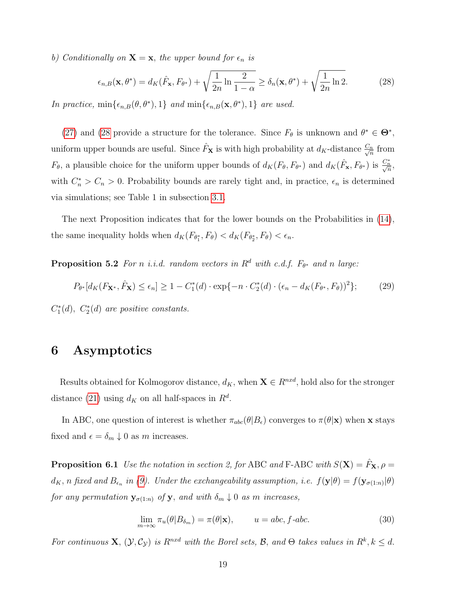b) Conditionally on  $X = x$ , the upper bound for  $\epsilon_n$  is

<span id="page-18-2"></span>
$$
\epsilon_{n,B}(\mathbf{x},\theta^*) = d_K(\hat{F}_{\mathbf{x}},F_{\theta^*}) + \sqrt{\frac{1}{2n}\ln\frac{2}{1-\alpha}} \ge \delta_n(\mathbf{x},\theta^*) + \sqrt{\frac{1}{2n}\ln 2}.
$$
 (28)

In practice,  $\min\{\epsilon_{n,B}(\theta,\theta^*),1\}$  and  $\min\{\epsilon_{n,B}(\mathbf{x},\theta^*),1\}$  are used.

[\(27\)](#page-17-2) and [\(28](#page-18-2) provide a structure for the tolerance. Since  $F_{\theta}$  is unknown and  $\theta^* \in \Theta^*$ , uniform upper bounds are useful. Since  $\hat{F}_{\mathbf{X}}$  is with high probability at  $d_K$ -distance  $\frac{C_n}{\sqrt{n}}$  $\frac{n}{n}$  from  $F_{\theta}$ , a plausible choice for the uniform upper bounds of  $d_K(F_{\theta}, F_{\theta^*})$  and  $d_K(\hat{F}_{\mathbf{x}}, F_{\theta^*})$  is  $\frac{C_n^*}{\sqrt{n}}$ , with  $C_n^* > C_n > 0$ . Probability bounds are rarely tight and, in practice,  $\epsilon_n$  is determined via simulations; see Table 1 in subsection [3.1.](#page-9-0)

The next Proposition indicates that for the lower bounds on the Probabilities in [\(14\)](#page-14-1), the same inequality holds when  $d_K(F_{\theta_1^*}, F_{\theta}) < d_K(F_{\theta_2^*}, F_{\theta}) < \epsilon_n$ .

<span id="page-18-1"></span>**Proposition 5.2** For n i.i.d. random vectors in  $R^d$  with c.d.f.  $F_{\theta^*}$  and n large:

$$
P_{\theta^*}[d_K(F_{\mathbf{X}^*}, \hat{F}_{\mathbf{X}}) \le \epsilon_n] \ge 1 - C_1^*(d) \cdot \exp\{-n \cdot C_2^*(d) \cdot (\epsilon_n - d_K(F_{\theta^*}, F_{\theta}))^2\};\tag{29}
$$

 $C_1^*(d)$ ,  $C_2^*(d)$  are positive constants.

#### <span id="page-18-0"></span>6 Asymptotics

Results obtained for Kolmogorov distance,  $d_K$ , when  $\mathbf{X} \in R^{nxd}$ , hold also for the stronger distance [\(21\)](#page-16-0) using  $d_K$  on all half-spaces in  $R^d$ .

In ABC, one question of interest is whether  $\pi_{abc}(\theta|B_{\epsilon})$  converges to  $\pi(\theta|\mathbf{x})$  when x stays fixed and  $\epsilon = \delta_m \downarrow 0$  as m increases.

<span id="page-18-3"></span>**Proposition 6.1** Use the notation in section 2, for ABC and F-ABC with  $S(\mathbf{X}) = \hat{F}_{\mathbf{X}}, \rho =$  $d_K$ , n fixed and  $B_{\epsilon_n}$  in [\(9\)](#page-7-6). Under the exchangeability assumption, i.e.  $f(\mathbf{y}|\theta) = f(\mathbf{y}_{\sigma(1:n)}|\theta)$ for any permutation  $y_{\sigma(1:n)}$  of y, and with  $\delta_m \downarrow 0$  as m increases,

$$
\lim_{m \to \infty} \pi_u(\theta | B_{\delta_m}) = \pi(\theta | \mathbf{x}), \qquad u = abc, f \text{-}abc. \tag{30}
$$

For continuous **X**,  $(\mathcal{Y}, \mathcal{C}_{\mathcal{Y}})$  is  $R^{nxd}$  with the Borel sets,  $\mathcal{B}$ , and  $\Theta$  takes values in  $R^k, k \leq d$ .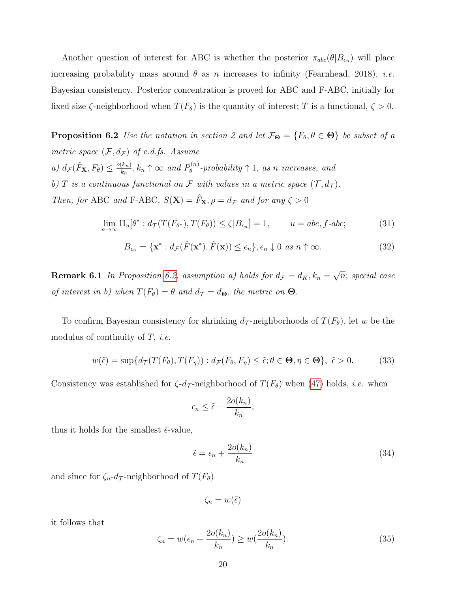Another question of interest for ABC is whether the posterior  $\pi_{abc}(\theta|B_{\epsilon_n})$  will place increasing probability mass around  $\theta$  as n increases to infinity (Fearnhead, 2018), *i.e.* Bayesian consistency. Posterior concentration is proved for ABC and F-ABC, initially for fixed size  $\zeta$ -neighborhood when  $T(F_{\theta})$  is the quantity of interest; T is a functional,  $\zeta > 0$ .

<span id="page-19-0"></span>**Proposition 6.2** Use the notation in section 2 and let  $\mathcal{F}_{\Theta} = \{F_{\theta}, \theta \in \Theta\}$  be subset of a metric space  $(\mathcal{F}, d_{\mathcal{F}})$  of c.d.fs. Assume a)  $d_{\mathcal{F}}(\hat{F}_{\mathbf{X}}, F_{\theta}) \leq \frac{o(k_n)}{k_n}$  $\frac{(k_n)}{k_n}, k_n \uparrow \infty$  and  $P_{\theta}^{(n)}$  $\theta_{\theta}^{(n)}$ -probability  $\uparrow$  1, as n increases, and b) T is a continuous functional on F with values in a metric space  $(\mathcal{T}, d_{\mathcal{T}})$ . Then, for ABC and F-ABC,  $S(\mathbf{X}) = \hat{F}_{\mathbf{X}}, \rho = d_{\mathcal{F}}$  and for any  $\zeta > 0$ 

<span id="page-19-1"></span>
$$
\lim_{n \to \infty} \Pi_u[\theta^* : d_{\mathcal{T}}(T(F_{\theta^*}), T(F_{\theta})) \le \zeta | B_{\epsilon_n}] = 1, \qquad u = abc, f \text{-}abc;
$$
\n(31)

<span id="page-19-2"></span>
$$
B_{\epsilon_n} = \{ \mathbf{x}^* : d_{\mathcal{F}}(\hat{F}(\mathbf{x}^*), \hat{F}(\mathbf{x})) \le \epsilon_n \}, \epsilon_n \downarrow 0 \text{ as } n \uparrow \infty. \tag{32}
$$

**Remark 6.1** In Proposition [6.2,](#page-19-0) assumption a) holds for  $d_{\mathcal{F}} = d_K, k_n =$ √  $\overline{n};$  special case of interest in b) when  $T(F_{\theta}) = \theta$  and  $d_{\tau} = d_{\Theta}$ , the metric on  $\Theta$ .

To confirm Bayesian consistency for shrinking  $d_{\mathcal{T}}$ -neighborhoods of  $T(F_{\theta})$ , let w be the modulus of continuity of  $T$ , *i.e.* 

$$
w(\tilde{\epsilon}) = \sup \{ d_{\mathcal{T}}(T(F_{\theta}), T(F_{\eta})) : d_{\mathcal{F}}(F_{\theta}, F_{\eta}) \le \tilde{\epsilon}; \theta \in \Theta, \eta \in \Theta \}, \ \tilde{\epsilon} > 0. \tag{33}
$$

Consistency was established for  $\zeta$ -d<sub>T</sub>-neighborhood of  $T(F_{\theta})$  when [\(47\)](#page-24-0) holds, *i.e.* when

$$
\epsilon_n \leq \tilde{\epsilon} - \frac{2o(k_n)}{k_n},
$$

thus it holds for the smallest  $\tilde{\epsilon}$ -value,

$$
\tilde{\epsilon} = \epsilon_n + \frac{2o(k_n)}{k_n} \tag{34}
$$

and since for  $\zeta_n$ -d<sub>T</sub>-neighborhood of  $T(F_\theta)$ 

$$
\zeta_n=w(\tilde{\epsilon})
$$

it follows that

$$
\zeta_n = w(\epsilon_n + \frac{2o(k_n)}{k_n}) \ge w(\frac{2o(k_n)}{k_n}).\tag{35}
$$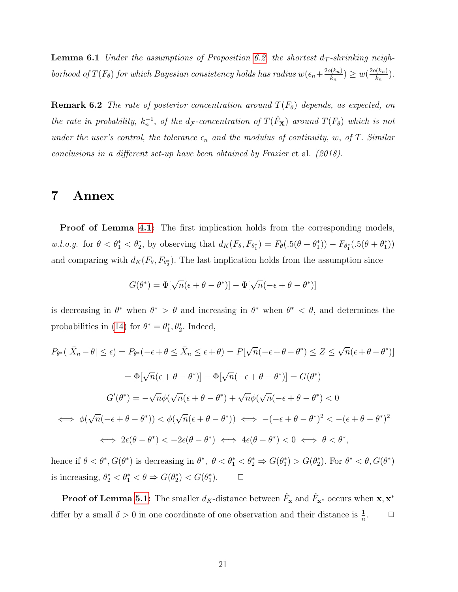**Lemma 6.1** Under the assumptions of Proposition [6.2,](#page-19-0) the shortest  $d_{\tau}$ -shrinking neighborhood of  $T(F_{\theta})$  for which Bayesian consistency holds has radius  $w(\epsilon_n+\frac{2o(k_n)}{k_n})$  $\frac{w(k_n)}{k_n}$ )  $\geq w(\frac{2o(k_n)}{k_n})$  $\frac{\binom{k_n}{k_n}}{k_n}$ .

**Remark 6.2** The rate of posterior concentration around  $T(F_{\theta})$  depends, as expected, on the rate in probability,  $k_n^{-1}$ , of the  $d_{\mathcal{F}}$ -concentration of  $T(\hat{F}_{\mathbf{X}})$  around  $T(F_{\theta})$  which is not under the user's control, the tolerance  $\epsilon_n$  and the modulus of continuity, w, of T. Similar conclusions in a different set-up have been obtained by Frazier et al. (2018).

#### 7 Annex

**Proof of Lemma [4.1:](#page-14-2)** The first implication holds from the corresponding models, w.l.o.g. for  $\theta < \theta_1^* < \theta_2^*$ , by observing that  $d_K(F_{\theta}, F_{\theta_1^*}) = F_{\theta}(0.5(\theta + \theta_1^*)) - F_{\theta_1^*}(0.5(\theta + \theta_1^*))$ and comparing with  $d_K(F_\theta, F_{\theta_2^*})$ . The last implication holds from the assumption since

$$
G(\theta^*) = \Phi[\sqrt{n}(\epsilon + \theta - \theta^*)] - \Phi[\sqrt{n}(-\epsilon + \theta - \theta^*)]
$$

is decreasing in  $\theta^*$  when  $\theta^* > \theta$  and increasing in  $\theta^*$  when  $\theta^* < \theta$ , and determines the probabilities in [\(14\)](#page-14-1) for  $\theta^* = \theta_1^*, \theta_2^*$ . Indeed,

$$
P_{\theta^*}(|\bar{X}_n - \theta| \le \epsilon) = P_{\theta^*}(-\epsilon + \theta \le \bar{X}_n \le \epsilon + \theta) = P[\sqrt{n}(-\epsilon + \theta - \theta^*) \le Z \le \sqrt{n}(\epsilon + \theta - \theta^*)]
$$

$$
= \Phi[\sqrt{n}(\epsilon + \theta - \theta^*)] - \Phi[\sqrt{n}(-\epsilon + \theta - \theta^*)] = G(\theta^*)
$$

$$
G'(\theta^*) = -\sqrt{n}\phi(\sqrt{n}(\epsilon + \theta - \theta^*) + \sqrt{n}\phi(\sqrt{n}(-\epsilon + \theta - \theta^*) < 0
$$

$$
\iff \phi(\sqrt{n}(-\epsilon + \theta - \theta^*)) < \phi(\sqrt{n}(\epsilon + \theta - \theta^*)) \iff -(-\epsilon + \theta - \theta^*)^2 < -(\epsilon + \theta - \theta^*)^2
$$

$$
\iff 2\epsilon(\theta - \theta^*) < -2\epsilon(\theta - \theta^*) \iff 4\epsilon(\theta - \theta^*) < 0 \iff \theta < \theta^*,
$$

hence if  $\theta < \theta^*$ ,  $G(\theta^*)$  is decreasing in  $\theta^*$ ,  $\theta < \theta_1^* < \theta_2^* \Rightarrow G(\theta_1^*) > G(\theta_2^*)$ . For  $\theta^* < \theta$ ,  $G(\theta^*)$ is increasing,  $\theta_2^* < \theta_1^* < \theta \Rightarrow G(\theta_2^*) < G(\theta_1^*)$  $\Box$ 

<span id="page-20-0"></span>**Proof of Lemma [5.1:](#page-17-3)** The smaller  $d_K$ -distance between  $\hat{F}_\mathbf{x}$  and  $\hat{F}_{\mathbf{x}^*}$  occurs when  $\mathbf{x}, \mathbf{x}^*$ differ by a small  $\delta > 0$  in one coordinate of one observation and their distance is  $\frac{1}{n}$  $\Box$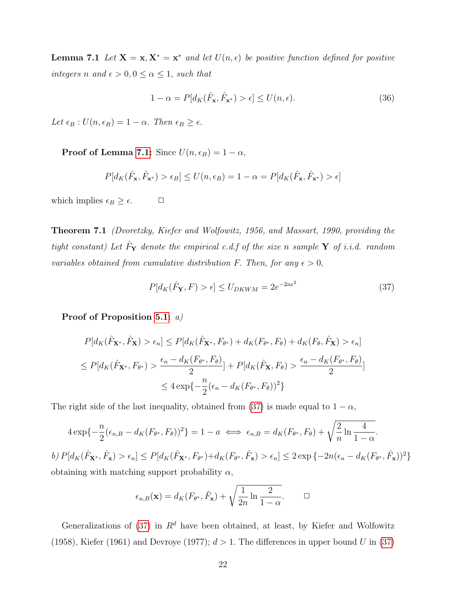**Lemma 7.1** Let  $X = x, X^* = x^*$  and let  $U(n, \epsilon)$  be positive function defined for positive integers n and  $\epsilon > 0, 0 \le \alpha \le 1$ , such that

$$
1 - \alpha = P[d_K(\hat{F}_\mathbf{x}, \hat{F}_{\mathbf{x}^*}) > \epsilon] \le U(n, \epsilon). \tag{36}
$$

Let  $\epsilon_B$  :  $U(n, \epsilon_B) = 1 - \alpha$ . Then  $\epsilon_B \geq \epsilon$ .

**Proof of Lemma [7.1:](#page-20-0)** Since  $U(n, \epsilon_B) = 1 - \alpha$ ,

$$
P[d_K(\hat{F}_\mathbf{x}, \hat{F}_{\mathbf{x}^*}) > \epsilon_B] \le U(n, \epsilon_B) = 1 - \alpha = P[d_K(\hat{F}_\mathbf{x}, \hat{F}_{\mathbf{x}^*}) > \epsilon]
$$

which implies  $\epsilon_B \geq \epsilon$ .  $\Box$ 

Theorem 7.1 (Dvoretzky, Kiefer and Wolfowitz, 1956, and Massart, 1990, providing the tight constant) Let  $\hat{F}_{\mathbf{Y}}$  denote the empirical c.d.f of the size n sample  $\mathbf{Y}$  of i.i.d. random variables obtained from cumulative distribution F. Then, for any  $\epsilon > 0$ ,

<span id="page-21-0"></span>
$$
P[d_K(\hat{F}_Y, F) > \epsilon] \le U_{DKWM} = 2e^{-2n\epsilon^2}
$$
\n(37)

Proof of Proposition [5.1:](#page-17-1) a)

$$
P[d_K(\hat{F}_{\mathbf{X}^*}, \hat{F}_{\mathbf{X}}) > \epsilon_n] \le P[d_K(\hat{F}_{\mathbf{X}^*}, F_{\theta^*}) + d_K(F_{\theta^*}, F_{\theta}) + d_K(F_{\theta}, \hat{F}_{\mathbf{X}}) > \epsilon_n]
$$
  
\n
$$
\le P[d_K(\hat{F}_{\mathbf{X}^*}, F_{\theta^*}) > \frac{\epsilon_n - d_K(F_{\theta^*}, F_{\theta})}{2}] + P[d_K(\hat{F}_{\mathbf{X}}, F_{\theta}) > \frac{\epsilon_n - d_K(F_{\theta^*}, F_{\theta})}{2}]
$$
  
\n
$$
\le 4 \exp\{-\frac{n}{2}(\epsilon_n - d_K(F_{\theta^*}, F_{\theta}))^2\}
$$

The right side of the last inequality, obtained from [\(37\)](#page-21-0) is made equal to  $1 - \alpha$ ,

$$
4\exp\{-\frac{n}{2}(\epsilon_{n,B} - d_K(F_{\theta^*}, F_{\theta}))^2\} = 1 - a \iff \epsilon_{n,B} = d_K(F_{\theta^*}, F_{\theta}) + \sqrt{\frac{2}{n}\ln\frac{4}{1-\alpha}}.
$$
  

$$
b) P[d_K(\hat{F}_{\mathbf{X}^*}, \hat{F}_{\mathbf{x}}) > \epsilon_n] \le P[d_K(\hat{F}_{\mathbf{X}^*}, F_{\theta^*}) + d_K(F_{\theta^*}, \hat{F}_{\mathbf{x}}) > \epsilon_n] \le 2\exp\{-2n(\epsilon_n - d_K(F_{\theta^*}, \hat{F}_{\mathbf{x}}))^2\}
$$
obtaining with matching support probability  $\alpha$ ,

$$
\epsilon_{n,B}(\mathbf{x}) = d_K(F_{\theta^*}, \hat{F}_{\mathbf{x}}) + \sqrt{\frac{1}{2n} \ln \frac{2}{1-\alpha}}.
$$

Generalizations of [\(37\)](#page-21-0) in  $R^d$  have been obtained, at least, by Kiefer and Wolfowitz (1958), Kiefer (1961) and Devroye (1977);  $d > 1$ . The differences in upper bound U in [\(37\)](#page-21-0)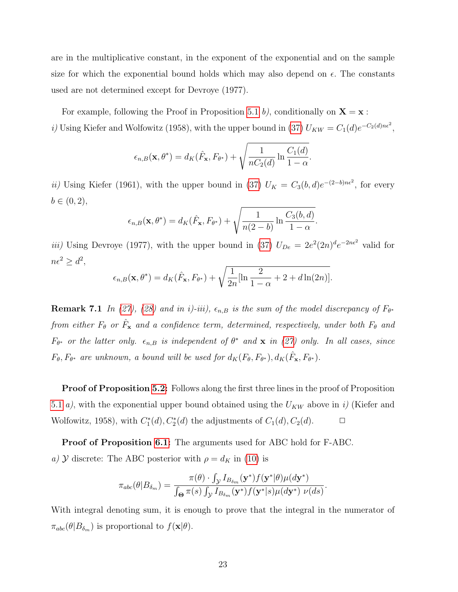are in the multiplicative constant, in the exponent of the exponential and on the sample size for which the exponential bound holds which may also depend on  $\epsilon$ . The constants used are not determined except for Devroye (1977).

For example, following the Proof in Proposition [5.1](#page-17-1) b), conditionally on  $X = x$ : i) Using Kiefer and Wolfowitz (1958), with the upper bound in [\(37\)](#page-21-0)  $U_{KW}=C_1(d)e^{-C_2(d)n\epsilon^2}$ ,

$$
\epsilon_{n,B}(\mathbf{x},\theta^*) = d_K(\hat{F}_{\mathbf{x}},F_{\theta^*}) + \sqrt{\frac{1}{nC_2(d)}\ln\frac{C_1(d)}{1-\alpha}}.
$$

*ii*) Using Kiefer (1961), with the upper bound in [\(37\)](#page-21-0)  $U_K = C_3(b, d)e^{-(2-b)\pi\epsilon^2}$ , for every  $b \in (0, 2),$ 

$$
\epsilon_{n,B}(\mathbf{x},\theta^*) = d_K(\hat{F}_{\mathbf{x}},F_{\theta^*}) + \sqrt{\frac{1}{n(2-b)}\ln\frac{C_3(b,d)}{1-\alpha}}.
$$

*iii*) Using Devroye (1977), with the upper bound in [\(37\)](#page-21-0)  $U_{De} = 2e^2(2n)^d e^{-2n\epsilon^2}$  valid for  $n\epsilon^2 \geq d^2$ ,

$$
\epsilon_{n,B}(\mathbf{x},\theta^*) = d_K(\hat{F}_{\mathbf{x}},F_{\theta^*}) + \sqrt{\frac{1}{2n}[\ln\frac{2}{1-\alpha}+2+d\ln(2n)]}.
$$

**Remark 7.1** In [\(27\)](#page-17-2), [\(28\)](#page-18-2) and in i)-iii),  $\epsilon_{n,B}$  is the sum of the model discrepancy of  $F_{\theta^*}$ from either  $F_{\theta}$  or  $\hat{F}_{\mathbf{x}}$  and a confidence term, determined, respectively, under both  $F_{\theta}$  and  $F_{\theta^*}$  or the latter only.  $\epsilon_{n,B}$  is independent of  $\theta^*$  and  $\bf{x}$  in [\(27\)](#page-17-2) only. In all cases, since  $F_{\theta}, F_{\theta^*}$  are unknown, a bound will be used for  $d_K(F_{\theta}, F_{\theta^*}), d_K(\hat{F}_{\mathbf{x}}, F_{\theta^*}).$ 

Proof of Proposition [5.2:](#page-18-1) Follows along the first three lines in the proof of Proposition [5.1](#page-17-1) a), with the exponential upper bound obtained using the  $U_{KW}$  above in i) (Kiefer and Wolfowitz, 1958), with  $C_1^*(d)$ ,  $C_2^*(d)$  the adjustments of  $C_1(d)$ ,  $C_2(d)$ .  $\Box$ 

Proof of Proposition [6.1:](#page-18-3) The arguments used for ABC hold for F-ABC. a) Y discrete: The ABC posterior with  $\rho = d_K$  in [\(10\)](#page-8-1) is

$$
\pi_{abc}(\theta|B_{\delta_m}) = \frac{\pi(\theta) \cdot \int_{\mathcal{Y}} I_{B_{\delta_m}}(\mathbf{y}^*) f(\mathbf{y}^* | \theta) \mu(d\mathbf{y}^*)}{\int_{\Theta} \pi(s) \int_{\mathcal{Y}} I_{B_{\delta_m}}(\mathbf{y}^*) f(\mathbf{y}^* | s) \mu(d\mathbf{y}^*) \ \nu(ds)}.
$$

With integral denoting sum, it is enough to prove that the integral in the numerator of  $\pi_{abc}(\theta|B_{\delta_m})$  is proportional to  $f(\mathbf{x}|\theta)$ .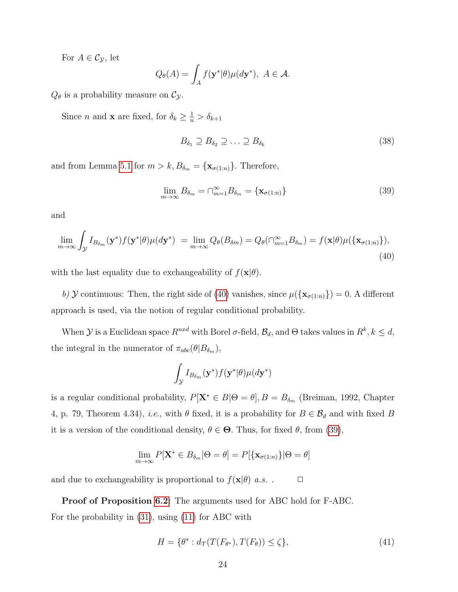For  $A \in \mathcal{C}_{\mathcal{Y}}$ , let

$$
Q_{\theta}(A) = \int_{A} f(\mathbf{y}^* | \theta) \mu(d\mathbf{y}^*), \ A \in \mathcal{A}.
$$

 $Q_{\theta}$  is a probability measure on  $\mathcal{C}_{\mathcal{Y}}$ .

Since *n* and **x** are fixed, for  $\delta_k \geq \frac{1}{n} > \delta_{k+1}$ 

$$
B_{\delta_1} \supseteq B_{\delta_2} \supseteq \ldots \supseteq B_{\delta_k} \tag{38}
$$

and from Lemma [5.1](#page-17-3) for  $m > k$ ,  $B_{\delta_m} = {\mathbf{x}_{\sigma(1:n)}}$ . Therefore,

<span id="page-23-1"></span>
$$
\lim_{m \to \infty} B_{\delta_m} = \bigcap_{m=1}^{\infty} B_{\delta_m} = \{ \mathbf{x}_{\sigma(1:n)} \}
$$
\n(39)

and

<span id="page-23-0"></span>
$$
\lim_{m \to \infty} \int_{\mathcal{Y}} I_{B_{\delta_m}}(\mathbf{y}^*) f(\mathbf{y}^* | \theta) \mu(d\mathbf{y}^*) = \lim_{m \to \infty} Q_{\theta}(B_{\delta_m}) = Q_{\theta}(\cap_{m=1}^{\infty} B_{\delta_m}) = f(\mathbf{x} | \theta) \mu(\{\mathbf{x}_{\sigma(1:n)}\}),
$$
\n(40)

with the last equality due to exchangeability of  $f(\mathbf{x}|\theta)$ .

b) Y continuous: Then, the right side of [\(40\)](#page-23-0) vanishes, since  $\mu({\mathbf{x}_{\sigma(1:n)}})=0$ . A different approach is used, via the notion of regular conditional probability.

When  $\mathcal Y$  is a Euclidean space  $R^{nxd}$  with Borel  $\sigma$ -field,  $\mathcal B_d$ , and  $\Theta$  takes values in  $R^k, k \leq d$ , the integral in the numerator of  $\pi_{abc}(\theta|B_{\delta_m}),$ 

$$
\int_{\mathcal{Y}} I_{B_{\delta_m}}(\mathbf{y}^*) f(\mathbf{y}^* | \theta) \mu(d\mathbf{y}^*)
$$

is a regular conditional probability,  $P[\mathbf{X}^* \in B | \Theta = \theta], B = B_{\delta_m}$  (Breiman, 1992, Chapter 4, p. 79, Theorem 4.34), *i.e.*, with  $\theta$  fixed, it is a probability for  $B \in \mathcal{B}_d$  and with fixed B it is a version of the conditional density,  $\theta \in \Theta$ . Thus, for fixed  $\theta$ , from [\(39\)](#page-23-1),

$$
\lim_{m \to \infty} P[\mathbf{X}^* \in B_{\delta_m} | \Theta = \theta] = P[\{\mathbf{x}_{\sigma(1:n)}\} | \Theta = \theta]
$$

and due to exchangeability is proportional to  $f(\mathbf{x}|\theta)$  a.s.  $\Box$ 

Proof of Proposition [6.2:](#page-19-0) The arguments used for ABC hold for F-ABC. For the probability in [\(31\)](#page-19-1), using [\(11\)](#page-8-2) for ABC with

<span id="page-23-2"></span>
$$
H = \{ \theta^* : d_{\mathcal{T}}(T(F_{\theta^*}), T(F_{\theta})) \le \zeta \},\tag{41}
$$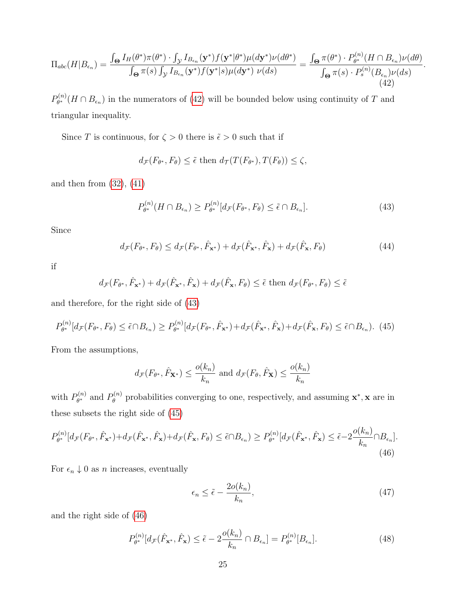<span id="page-24-1"></span>
$$
\Pi_{abc}(H|B_{\epsilon_n}) = \frac{\int_{\Theta} I_H(\theta^*) \pi(\theta^*) \cdot \int_{\mathcal{Y}} I_{B_{\epsilon_n}}(\mathbf{y}^*) f(\mathbf{y}^*|\theta^*) \mu(d\mathbf{y}^*) \nu(d\theta^*)}{\int_{\Theta} \pi(s) \int_{\mathcal{Y}} I_{B_{\epsilon_n}}(\mathbf{y}^*) f(\mathbf{y}^*|s) \mu(d\mathbf{y}^*) \nu(ds)} = \frac{\int_{\Theta} \pi(\theta^*) \cdot P_{\theta^*}^{(n)}(H \cap B_{\epsilon_n}) \nu(d\theta)}{\int_{\Theta} \pi(s) \cdot P_s^{(n)}(B_{\epsilon_n}) \nu(ds)} \tag{42}
$$

 $P_{\theta^*}^{(n)}$  $\theta_{\theta^*}^{(n)}(H \cap B_{\epsilon_n})$  in the numerators of [\(42\)](#page-24-1) will be bounded below using continuity of T and triangular inequality.

Since  $T$  is continuous, for  $\zeta>0$  there is  $\tilde{\epsilon}>0$  such that if

$$
d_{\mathcal{F}}(F_{\theta^*}, F_{\theta}) \leq \tilde{\epsilon} \text{ then } d_{\mathcal{T}}(T(F_{\theta^*}), T(F_{\theta})) \leq \zeta,
$$

and then from  $(32)$ ,  $(41)$ 

<span id="page-24-2"></span>
$$
P_{\theta^*}^{(n)}(H \cap B_{\epsilon_n}) \ge P_{\theta^*}^{(n)}[d_{\mathcal{F}}(F_{\theta^*}, F_{\theta}) \le \tilde{\epsilon} \cap B_{\epsilon_n}]. \tag{43}
$$

.

Since

$$
d_{\mathcal{F}}(F_{\theta^*}, F_{\theta}) \le d_{\mathcal{F}}(F_{\theta^*}, \hat{F}_{\mathbf{x}^*}) + d_{\mathcal{F}}(\hat{F}_{\mathbf{x}^*}, \hat{F}_{\mathbf{x}}) + d_{\mathcal{F}}(\hat{F}_{\mathbf{x}}, F_{\theta})
$$
(44)

if

$$
d_{\mathcal{F}}(F_{\theta^*}, \hat{F}_{\mathbf{x}^*}) + d_{\mathcal{F}}(\hat{F}_{\mathbf{x}^*}, \hat{F}_{\mathbf{x}}) + d_{\mathcal{F}}(\hat{F}_{\mathbf{x}}, F_{\theta}) \le \tilde{\epsilon} \text{ then } d_{\mathcal{F}}(F_{\theta^*}, F_{\theta}) \le \tilde{\epsilon}
$$

and therefore, for the right side of [\(43\)](#page-24-2)

<span id="page-24-3"></span>
$$
P_{\theta^*}^{(n)}[d_{\mathcal{F}}(F_{\theta^*}, F_{\theta}) \le \tilde{\epsilon} \cap B_{\epsilon_n}) \ge P_{\theta^*}^{(n)}[d_{\mathcal{F}}(F_{\theta^*}, \hat{F}_{\mathbf{x}^*}) + d_{\mathcal{F}}(\hat{F}_{\mathbf{x}^*}, \hat{F}_{\mathbf{x}}) + d_{\mathcal{F}}(\hat{F}_{\mathbf{x}}, F_{\theta}) \le \tilde{\epsilon} \cap B_{\epsilon_n}). \tag{45}
$$

From the assumptions,

$$
d_{\mathcal{F}}(F_{\theta^*}, \hat{F}_{\mathbf{X}^*}) \leq \frac{o(k_n)}{k_n}
$$
 and  $d_{\mathcal{F}}(F_{\theta}, \hat{F}_{\mathbf{X}}) \leq \frac{o(k_n)}{k_n}$ 

with  $P_{\theta^*}^{(n)}$  $P_{\theta^*}^{(n)}$  and  $P_{\theta}^{(n)}$  $\theta_{\theta}^{(n)}$  probabilities converging to one, respectively, and assuming  $\mathbf{x}^*$ , x are in these subsets the right side of [\(45\)](#page-24-3)

<span id="page-24-4"></span>
$$
P_{\theta^*}^{(n)}[d_{\mathcal{F}}(F_{\theta^*}, \hat{F}_{\mathbf{x}^*}) + d_{\mathcal{F}}(\hat{F}_{\mathbf{x}^*}, \hat{F}_{\mathbf{x}}) + d_{\mathcal{F}}(\hat{F}_{\mathbf{x}}, F_{\theta}) \le \tilde{\epsilon} \cap B_{\epsilon_n}) \ge P_{\theta^*}^{(n)}[d_{\mathcal{F}}(\hat{F}_{\mathbf{x}^*}, \hat{F}_{\mathbf{x}}) \le \tilde{\epsilon} - 2\frac{o(k_n)}{k_n} \cap B_{\epsilon_n}].
$$
\n(46)

For  $\epsilon_n \downarrow 0$  as n increases, eventually

<span id="page-24-0"></span>
$$
\epsilon_n \le \tilde{\epsilon} - \frac{2o(k_n)}{k_n},\tag{47}
$$

and the right side of [\(46\)](#page-24-4)

<span id="page-24-5"></span>
$$
P_{\theta^*}^{(n)}[d_{\mathcal{F}}(\hat{F}_{\mathbf{x}^*}, \hat{F}_{\mathbf{x}}) \le \tilde{\epsilon} - 2\frac{o(k_n)}{k_n} \cap B_{\epsilon_n}] = P_{\theta^*}^{(n)}[B_{\epsilon_n}].\tag{48}
$$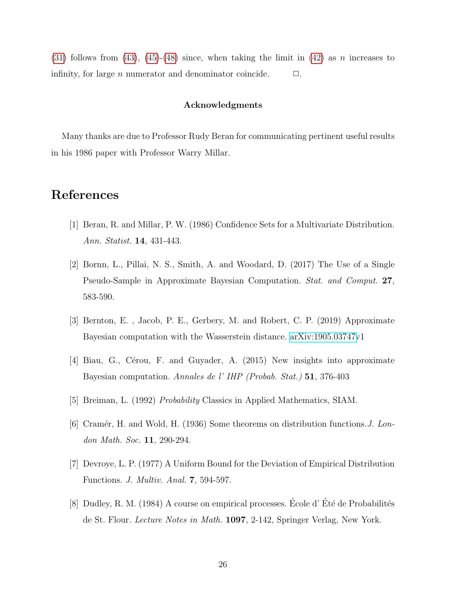[\(31\)](#page-19-1) follows from [\(43\)](#page-24-2), [\(45\)](#page-24-3)-[\(48\)](#page-24-5) since, when taking the limit in [\(42\)](#page-24-1) as n increases to infinity, for large *n* numerator and denominator coincide.  $\Box$ .

#### Acknowledgments

Many thanks are due to Professor Rudy Beran for communicating pertinent useful results in his 1986 paper with Professor Warry Millar.

## References

- [1] Beran, R. and Millar, P. W. (1986) Confidence Sets for a Multivariate Distribution. Ann. Statist. 14, 431-443.
- [2] Bornn, L., Pillai, N. S., Smith, A. and Woodard, D. (2017) The Use of a Single Pseudo-Sample in Approximate Bayesian Computation. Stat. and Comput. 27, 583-590.
- [3] Bernton, E. , Jacob, P. E., Gerbery, M. and Robert, C. P. (2019) Approximate Bayesian computation with the Wasserstein distance. [arXiv:1905.03747v](http://arxiv.org/abs/1905.03747)1
- [4] Biau, G., Cérou, F. and Guyader, A. (2015) New insights into approximate Bayesian computation. Annales de l' IHP (Probab. Stat.) 51, 376-403
- [5] Breiman, L. (1992) Probability Classics in Applied Mathematics, SIAM.
- [6] Cramér, H. and Wold, H. (1936) Some theorems on distribution functions. *J. Lon*don Math. Soc. 11, 290-294.
- [7] Devroye, L. P. (1977) A Uniform Bound for the Deviation of Empirical Distribution Functions. J. Multiv. Anal. 7, 594-597.
- [8] Dudley, R. M. (1984) A course on empirical processes. Ecole d'Eté de Probabilités de St. Flour. Lecture Notes in Math. 1097, 2-142, Springer Verlag, New York.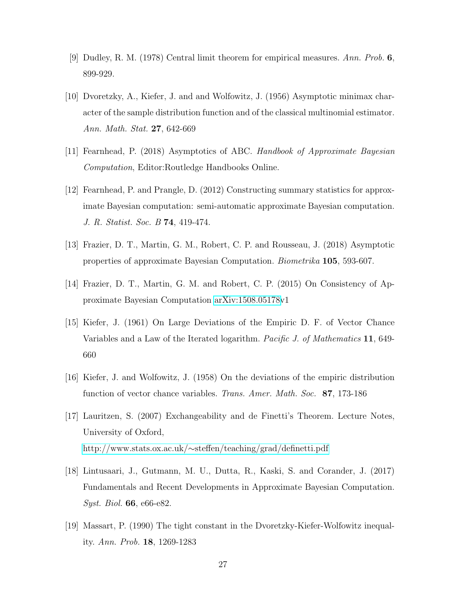- [9] Dudley, R. M. (1978) Central limit theorem for empirical measures. Ann. Prob. 6, 899-929.
- [10] Dvoretzky, A., Kiefer, J. and and Wolfowitz, J. (1956) Asymptotic minimax character of the sample distribution function and of the classical multinomial estimator. Ann. Math. Stat. 27, 642-669
- [11] Fearnhead, P. (2018) Asymptotics of ABC. Handbook of Approximate Bayesian Computation, Editor:Routledge Handbooks Online.
- [12] Fearnhead, P. and Prangle, D. (2012) Constructing summary statistics for approximate Bayesian computation: semi-automatic approximate Bayesian computation. J. R. Statist. Soc. B 74, 419-474.
- [13] Frazier, D. T., Martin, G. M., Robert, C. P. and Rousseau, J. (2018) Asymptotic properties of approximate Bayesian Computation. Biometrika 105, 593-607.
- [14] Frazier, D. T., Martin, G. M. and Robert, C. P. (2015) On Consistency of Approximate Bayesian Computation [arXiv:1508.05178v](http://arxiv.org/abs/1508.05178)1
- [15] Kiefer, J. (1961) On Large Deviations of the Empiric D. F. of Vector Chance Variables and a Law of the Iterated logarithm. Pacific J. of Mathematics 11, 649- 660
- [16] Kiefer, J. and Wolfowitz, J. (1958) On the deviations of the empiric distribution function of vector chance variables. Trans. Amer. Math. Soc. 87, 173-186
- [17] Lauritzen, S. (2007) Exchangeability and de Finetti's Theorem. Lecture Notes, University of Oxford, http://www.stats.ox.ac.uk/∼[steffen/teaching/grad/definetti.pdf](http://www.stats.ox.ac.uk/~steffen/teaching/grad/definetti.pdf)
- [18] Lintusaari, J., Gutmann, M. U., Dutta, R., Kaski, S. and Corander, J. (2017) Fundamentals and Recent Developments in Approximate Bayesian Computation. Syst. Biol. 66, e66-e82.
- [19] Massart, P. (1990) The tight constant in the Dvoretzky-Kiefer-Wolfowitz inequality. Ann. Prob. 18, 1269-1283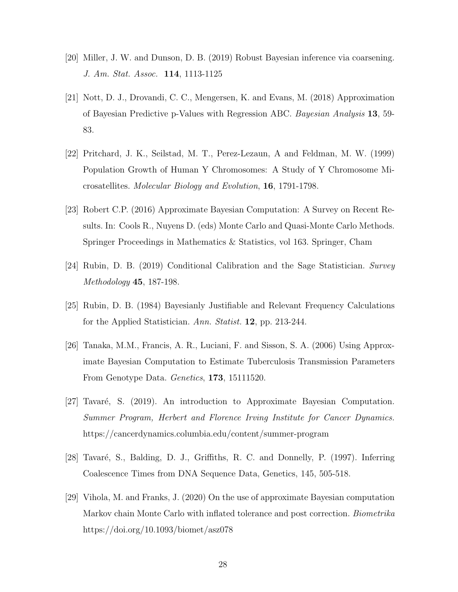- [20] Miller, J. W. and Dunson, D. B. (2019) Robust Bayesian inference via coarsening. J. Am. Stat. Assoc. 114, 1113-1125
- [21] Nott, D. J., Drovandi, C. C., Mengersen, K. and Evans, M. (2018) Approximation of Bayesian Predictive p-Values with Regression ABC. Bayesian Analysis 13, 59- 83.
- [22] Pritchard, J. K., Seilstad, M. T., Perez-Lezaun, A and Feldman, M. W. (1999) Population Growth of Human Y Chromosomes: A Study of Y Chromosome Microsatellites. Molecular Biology and Evolution, 16, 1791-1798.
- [23] Robert C.P. (2016) Approximate Bayesian Computation: A Survey on Recent Results. In: Cools R., Nuyens D. (eds) Monte Carlo and Quasi-Monte Carlo Methods. Springer Proceedings in Mathematics & Statistics, vol 163. Springer, Cham
- [24] Rubin, D. B. (2019) Conditional Calibration and the Sage Statistician. Survey Methodology 45, 187-198.
- [25] Rubin, D. B. (1984) Bayesianly Justifiable and Relevant Frequency Calculations for the Applied Statistician. Ann. Statist. 12, pp. 213-244.
- [26] Tanaka, M.M., Francis, A. R., Luciani, F. and Sisson, S. A. (2006) Using Approximate Bayesian Computation to Estimate Tuberculosis Transmission Parameters From Genotype Data. *Genetics*, **173**, 15111520.
- [27] Tavaré, S. (2019). An introduction to Approximate Bayesian Computation. Summer Program, Herbert and Florence Irving Institute for Cancer Dynamics. https://cancerdynamics.columbia.edu/content/summer-program
- [28] Tavaré, S., Balding, D. J., Griffiths, R. C. and Donnelly, P. (1997). Inferring Coalescence Times from DNA Sequence Data, Genetics, 145, 505-518.
- [29] Vihola, M. and Franks, J. (2020) On the use of approximate Bayesian computation Markov chain Monte Carlo with inflated tolerance and post correction. Biometrika https://doi.org/10.1093/biomet/asz078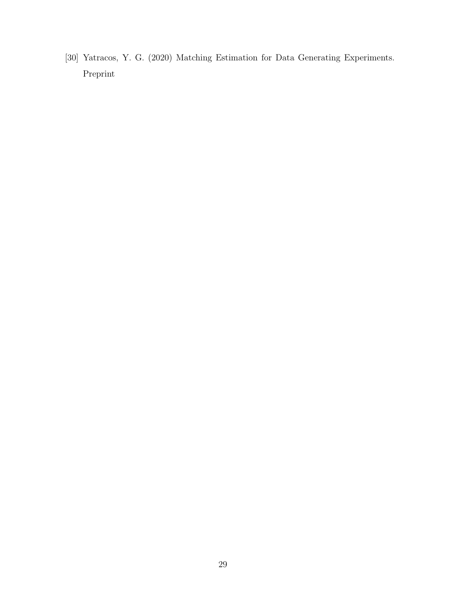[30] Yatracos, Y. G. (2020) Matching Estimation for Data Generating Experiments. Preprint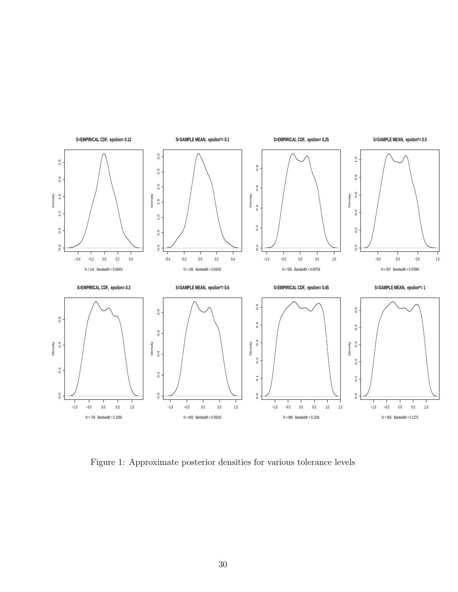

Figure 1: Approximate posterior densities for various tolerance levels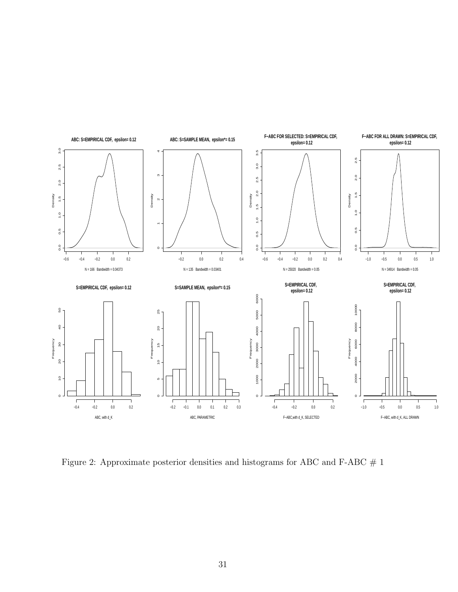

Figure 2: Approximate posterior densities and histograms for ABC and F-ABC  $\#$  1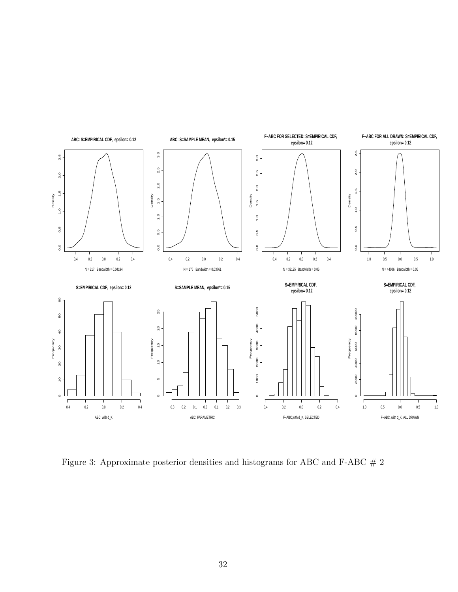

Figure 3: Approximate posterior densities and histograms for ABC and F-ABC  $\#$  2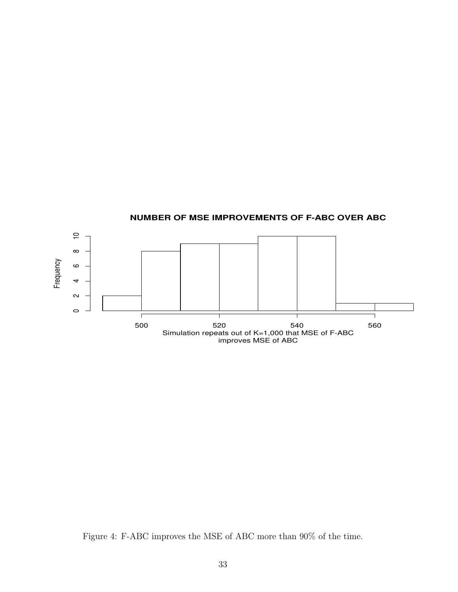

**NUMBER OF MSE IMPROVEMENTS OF F-ABC OVER ABC**

Figure 4: F-ABC improves the MSE of ABC more than 90% of the time.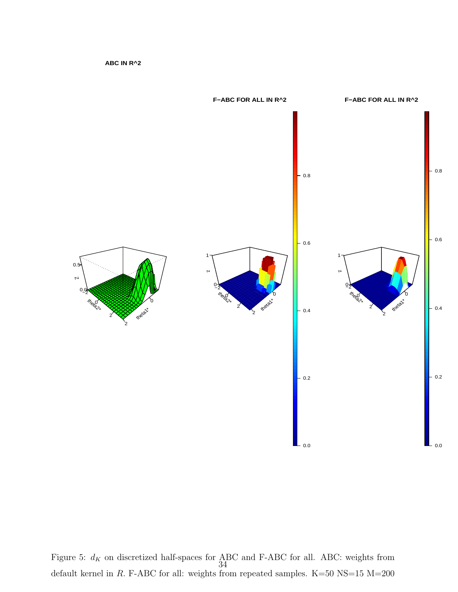**ABC IN R^2**



Figure 5:  $d_K$  on discretized half-spaces for ABC and F-ABC for all. ABC: weights from default kernel in  $R$ . F-ABC for all: weights from repeated samples. K=50 NS=15 M=200 34